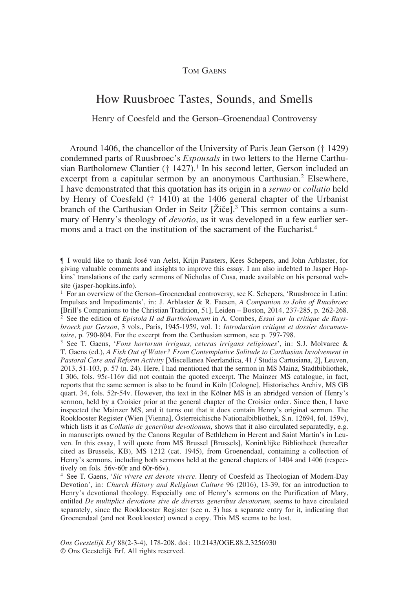# How Ruusbroec Tastes, Sounds, and Smells

## Henry of Coesfeld and the Gerson–Groenendaal Controversy

Around 1406, the chancellor of the University of Paris Jean Gerson († 1429) condemned parts of Ruusbroec's *Espousals* in two letters to the Herne Carthusian Bartholomew Clantier († 1427).<sup>1</sup> In his second letter, Gerson included an excerpt from a capitular sermon by an anonymous Carthusian.<sup>2</sup> Elsewhere, I have demonstrated that this quotation has its origin in a *sermo* or *collatio* held by Henry of Coesfeld († 1410) at the 1406 general chapter of the Urbanist branch of the Carthusian Order in Seitz [Žiče].<sup>3</sup> This sermon contains a summary of Henry's theology of *devotio*, as it was developed in a few earlier sermons and a tract on the institution of the sacrament of the Eucharist<sup>4</sup>

<sup>3</sup> See T. Gaens, '*Fons hortorum irriguus, ceteras irrigans religiones*', in: S.J. Molvarec & T. Gaens (ed.), *A Fish Out of Water? From Contemplative Solitude to Carthusian Involvement in Pastoral Care and Reform Activity* [Miscellanea Neerlandica, 41 / Studia Cartusiana, 2], Leuven, 2013, 51-103, p. 57 (n. 24). Here, I had mentioned that the sermon in MS Mainz, Stadtbibliothek, I 306, fols. 95r-116v did not contain the quoted excerpt. The Mainzer MS catalogue, in fact, reports that the same sermon is also to be found in Köln [Cologne], Historisches Archiv, MS GB quart. 34, fols. 52r-54v. However, the text in the Kölner MS is an abridged version of Henry's sermon, held by a Croisier prior at the general chapter of the Croisier order. Since then, I have inspected the Mainzer MS, and it turns out that it does contain Henry's original sermon. The Rooklooster Register (Wien [Vienna], Österreichische Nationalbibliothek, S.n. 12694, fol. 159v), which lists it as *Collatio de generibus devotionum*, shows that it also circulated separatedly, e.g. in manuscripts owned by the Canons Regular of Bethlehem in Herent and Saint Martin's in Leuven. In this essay, I will quote from MS Brussel [Brussels], Koninklijke Bibliotheek (hereafter cited as Brussels, KB), MS 1212 (cat. 1945), from Groenendaal, containing a collection of Henry's sermons, including both sermons held at the general chapters of 1404 and 1406 (respectively on fols. 56v-60r and 60r-66v).

<sup>4</sup> See T. Gaens, '*Sic vivere est devote vivere*. Henry of Coesfeld as Theologian of Modern-Day Devotion', in: *Church History and Religious Culture* 96 (2016), 13-39, for an introduction to Henry's devotional theology. Especially one of Henry's sermons on the Purification of Mary, entitled *De multiplici devotione sive de diversis generibus devotorum*, seems to have circulated separately, since the Rooklooster Register (see n. 3) has a separate entry for it, indicating that Groenendaal (and not Rooklooster) owned a copy. This MS seems to be lost.

<sup>¶</sup> I would like to thank José van Aelst, Krijn Pansters, Kees Schepers, and John Arblaster, for giving valuable comments and insights to improve this essay. I am also indebted to Jasper Hopkins' translations of the early sermons of Nicholas of Cusa, made available on his personal website (jasper-hopkins.info).

 $1$  For an overview of the Gerson–Groenendaal controversy, see K. Schepers, 'Ruusbroec in Latin: Impulses and Impediments', in: J. Arblaster & R. Faesen, *A Companion to John of Ruusbroec*  [Brill's Companions to the Christian Tradition, 51], Leiden – Boston, 2014, 237-285, p. 262-268. <sup>2</sup> See the edition of *Epistola II ad Bartholomeum* in A. Combes, *Essai sur la critique de Ruysbroeck par Gerson*, 3 vols., Paris, 1945-1959, vol. 1: *Introduction critique et dossier documentaire*, p. 790-804. For the excerpt from the Carthusian sermon, see p. 797-798.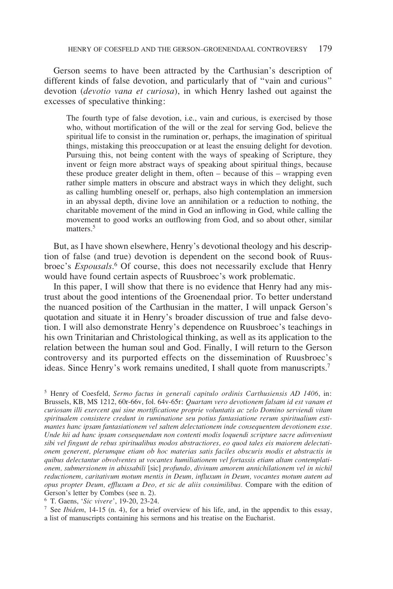Gerson seems to have been attracted by the Carthusian's description of different kinds of false devotion, and particularly that of "vain and curious" devotion (*devotio vana et curiosa*), in which Henry lashed out against the excesses of speculative thinking:

The fourth type of false devotion, i.e., vain and curious, is exercised by those who, without mortification of the will or the zeal for serving God, believe the spiritual life to consist in the rumination or, perhaps, the imagination of spiritual things, mistaking this preoccupation or at least the ensuing delight for devotion. Pursuing this, not being content with the ways of speaking of Scripture, they invent or feign more abstract ways of speaking about spiritual things, because these produce greater delight in them, often – because of this – wrapping even rather simple matters in obscure and abstract ways in which they delight, such as calling humbling oneself or, perhaps, also high contemplation an immersion in an abyssal depth, divine love an annihilation or a reduction to nothing, the charitable movement of the mind in God an inflowing in God, while calling the movement to good works an outflowing from God, and so about other, similar matters.<sup>5</sup>

But, as I have shown elsewhere, Henry's devotional theology and his description of false (and true) devotion is dependent on the second book of Ruusbroec's *Espousals*. 6 Of course, this does not necessarily exclude that Henry would have found certain aspects of Ruusbroec's work problematic.

In this paper, I will show that there is no evidence that Henry had any mistrust about the good intentions of the Groenendaal prior. To better understand the nuanced position of the Carthusian in the matter, I will unpack Gerson's quotation and situate it in Henry's broader discussion of true and false devotion. I will also demonstrate Henry's dependence on Ruusbroec's teachings in his own Trinitarian and Christological thinking, as well as its application to the relation between the human soul and God. Finally, I will return to the Gerson controversy and its purported effects on the dissemination of Ruusbroec's ideas. Since Henry's work remains unedited, I shall quote from manuscripts.<sup>7</sup>

<sup>7</sup> See *Ibidem*, 14-15 (n. 4), for a brief overview of his life, and, in the appendix to this essay, a list of manuscripts containing his sermons and his treatise on the Eucharist.

<sup>5</sup> Henry of Coesfeld, *Sermo factus in generali capitulo ordinis Carthusiensis AD 1406*, in: Brussels, KB, MS 1212, 60r-66v, fol. 64v-65r: *Quartam vero devotionem falsam id est vanam et curiosam illi exercent qui sine mortificatione proprie voluntatis ac zelo Domino serviendi vitam spiritualem consistere credunt in ruminatione seu potius fantasiatione rerum spiritualium estimantes hanc ipsam fantasiationem vel saltem delectationem inde consequentem devotionem esse. Unde hii ad hanc ipsam consequendam non contenti modis loquendi scripture sacre adinveniunt sibi vel fingunt de rebus spiritualibus modos abstractiores, eo quod tales eis maiorem delectationem generent, plerumque etiam ob hoc materias satis faciles obscuris modis et abstractis in quibus delectantur obvolventes ut vocantes humiliationem vel fortassis etiam altam contemplationem, submersionem in abissabili* [sic] *profundo, divinum amorem annichilationem vel in nichil reductionem, caritativum motum mentis in Deum, influxum in Deum, vocantes motum autem ad opus propter Deum, effluxum a Deo, et sic de aliis consimilibus.* Compare with the edition of Gerson's letter by Combes (see n. 2).

<sup>6</sup> T. Gaens, '*Sic vivere*', 19-20, 23-24.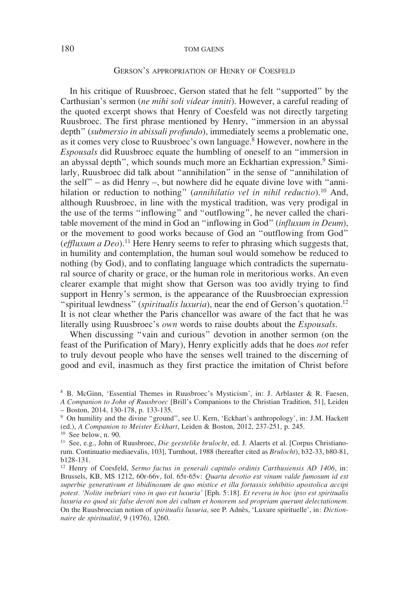### Gerson's appropriation of Henry of Coesfeld

In his critique of Ruusbroec, Gerson stated that he felt "supported" by the Carthusian's sermon (*ne mihi soli videar inniti*). However, a careful reading of the quoted excerpt shows that Henry of Coesfeld was not directly targeting Ruusbroec. The first phrase mentioned by Henry, "immersion in an abyssal depth" (*submersio in abissali profundo*), immediately seems a problematic one, as it comes very close to Ruusbroec's own language.8 However, nowhere in the *Espousals* did Ruusbroec equate the humbling of oneself to an "immersion in an abyssal depth", which sounds much more an Eckhartian expression.<sup>9</sup> Similarly, Ruusbroec did talk about "annihilation" in the sense of "annihilation of the self" – as did Henry –, but nowhere did he equate divine love with "annihilation or reduction to nothing" (*annihilatio vel in nihil reductio*).10 And, although Ruusbroec, in line with the mystical tradition, was very prodigal in the use of the terms "inflowing" and "outflowing", he never called the charitable movement of the mind in God an "inflowing in God" (*influxum in Deum*), or the movement to good works because of God an "outflowing from God" (*effluxum a Deo*).11 Here Henry seems to refer to phrasing which suggests that, in humility and contemplation, the human soul would somehow be reduced to nothing (by God), and to conflating language which contradicts the supernatural source of charity or grace, or the human role in meritorious works. An even clearer example that might show that Gerson was too avidly trying to find support in Henry's sermon, is the appearance of the Ruusbroecian expression "spiritual lewdness" (*spiritualis luxuria*), near the end of Gerson's quotation.12 It is not clear whether the Paris chancellor was aware of the fact that he was literally using Ruusbroec's *own* words to raise doubts about the *Espousals*.

When discussing "vain and curious" devotion in another sermon (on the feast of the Purification of Mary), Henry explicitly adds that he does *not* refer to truly devout people who have the senses well trained to the discerning of good and evil, inasmuch as they first practice the imitation of Christ before

<sup>8</sup> B. McGinn, 'Essential Themes in Ruusbroec's Mysticism', in: J. Arblaster & R. Faesen, *A Companion to John of Ruusbroec* [Brill's Companions to the Christian Tradition, 51], Leiden – Boston, 2014, 130-178, p. 133-135.

<sup>9</sup> On humility and the divine "ground", see U. Kern, 'Eckhart's anthropology', in: J.M. Hackett (ed.), *A Companion to Meister Eckhart*, Leiden & Boston, 2012, 237-251, p. 245. 10 See below, n. 90.

<sup>11</sup> See, e.g., John of Ruusbroec, *Die geestelike brulocht*, ed. J. Alaerts et al. [Corpus Christianorum. Continuatio mediaevalis, 103], Turnhout, 1988 (hereafter cited as *Brulocht*), b32-33, b80-81, b128-131.

<sup>12</sup> Henry of Coesfeld, *Sermo factus in generali capitulo ordinis Carthusiensis AD 1406*, in: Brussels, KB, MS 1212, 60r-66v, fol. 65r-65v: *Quarta devotio est vinum valde fumosum id est superbie generativum et libidinosum de quo mistice et illa fortassis inhibitio apostolica accipi potest. 'Nolite inebriari vino in quo est luxuria'* [Eph. 5:18]*. Et revera in hoc ipso est spiritualis luxuria eo quod sic false devoti non dei cultum et honorem sed propriam querunt delectationem.* On the Ruusbroecian notion of *spiritualis luxuria*, see P. Adnès, 'Luxure spirituelle', in: *Dictionnaire de spiritualité*, 9 (1976), 1260.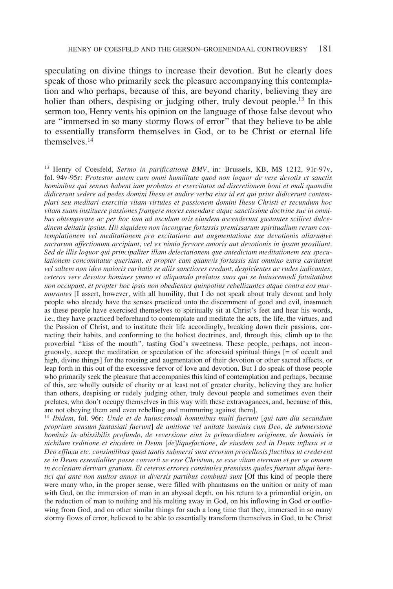speculating on divine things to increase their devotion. But he clearly does speak of those who primarily seek the pleasure accompanying this contemplation and who perhaps, because of this, are beyond charity, believing they are holier than others, despising or judging other, truly devout people.<sup>13</sup> In this sermon too, Henry vents his opinion on the language of those false devout who are "immersed in so many stormy flows of error" that they believe to be able to essentially transform themselves in God, or to be Christ or eternal life themselves<sup>14</sup>

<sup>13</sup> Henry of Coesfeld, *Sermo in purificatione BMV*, in: Brussels, KB, MS 1212, 91r-97v, fol. 94v-95r: *Protestor autem cum omni humilitate quod non loquor de vere devotis et sanctis hominibus qui sensus habent iam probatos et exercitatos ad discretionem boni et mali quamdiu didicerunt sedere ad pedes domini Ihesu et audire verba eius id est qui prius didicerunt contemplari seu meditari exercitia vitam virtutes et passionem domini Ihesu Christi et secundum hoc vitam suam instituere passiones frangere mores emendare atque sanctissime doctrine sue in omnibus obtemperare ac per hoc iam ad osculum oris eiusdem ascenderunt gustantes scilicet dulcedinem deitatis ipsius. Hii siquidem non incongrue fortassis premissarum spiritualium rerum contemplationem vel meditationem pro excitatione aut augmentatione sue devotionis aliarumve sacrarum affectionum accipiunt, vel ex nimio fervore amoris aut devotionis in ipsam prosiliunt. Sed de illis loquor qui principaliter illam delectationem que antedictam meditationem seu speculationem concomitatur queritant, et propter eam quamvis fortassis sint omnino extra caritatem vel saltem non ideo maioris caritatis se aliis sanctiores credunt, despicientes ac rudes iudicantes, ceteros vere devotos homines ymmo et aliquando prelatos suos qui se huiuscemodi fatuitatibus non occupant, et propter hoc ipsis non obedientes quinpotius rebellizantes atque contra eos murmurantes* [I assert, however, with all humility, that I do not speak about truly devout and holy people who already have the senses practiced unto the discernment of good and evil, inasmuch as these people have exercised themselves to spiritually sit at Christ's feet and hear his words, i.e., they have practiced beforehand to contemplate and meditate the acts, the life, the virtues, and the Passion of Christ, and to institute their life accordingly, breaking down their passions, correcting their habits, and conforming to the holiest doctrines, and, through this, climb up to the proverbial "kiss of the mouth", tasting God's sweetness. These people, perhaps, not incongruously, accept the meditation or speculation of the aforesaid spiritual things [= of occult and high, divine things] for the rousing and augmentation of their devotion or other sacred affects, or leap forth in this out of the excessive fervor of love and devotion. But I do speak of those people who primarily seek the pleasure that accompanies this kind of contemplation and perhaps, because of this, are wholly outside of charity or at least not of greater charity, believing they are holier than others, despising or rudely judging other, truly devout people and sometimes even their prelates, who don't occupy themselves in this way with these extravagances, and, because of this, are not obeying them and even rebelling and murmuring against them].

<sup>14</sup> *Ibidem*, fol. 96r: *Unde et de huiuscemodi hominibus multi fuerunt* [*qui tam diu secundum proprium sensum fantasiati fuerunt*] *de unitione vel unitate hominis cum Deo, de submersione hominis in abissibilis profundo, de reversione eius in primordialem originem, de hominis in nichilum reditione et eiusdem in Deum* [*de*]*liquefactione, de eiusdem sed in Deum influxu et a Deo effluxu etc. consimilibus quod tantis submersi sunt errorum procellosis fluctibus ut crederent se in Deum essentialiter posse converti se esse Christum, se esse vitam eternam et per se omnem in ecclesiam derivari gratiam. Et ceteros errores consimiles premissis quales fuerunt aliqui heretici qui ante non multos annos in diversis partibus combusti sunt* [Of this kind of people there were many who, in the proper sense, were filled with phantasms on the unition or unity of man with God, on the immersion of man in an abyssal depth, on his return to a primordial origin, on the reduction of man to nothing and his melting away in God, on his inflowing in God or outflowing from God, and on other similar things for such a long time that they, immersed in so many stormy flows of error, believed to be able to essentially transform themselves in God, to be Christ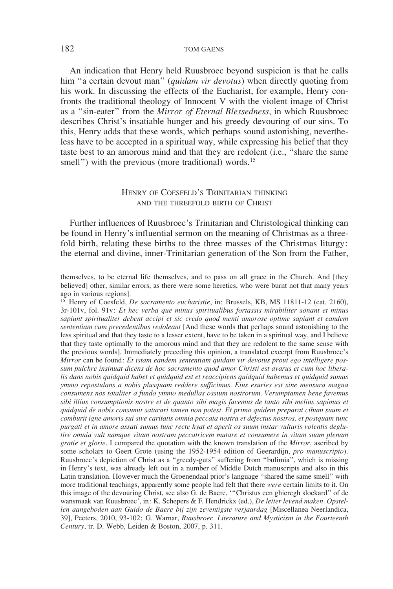An indication that Henry held Ruusbroec beyond suspicion is that he calls him "a certain devout man" (*quidam vir devotus*) when directly quoting from his work. In discussing the effects of the Eucharist, for example, Henry confronts the traditional theology of Innocent V with the violent image of Christ as a "sin-eater" from the *Mirror of Eternal Blessedness*, in which Ruusbroec describes Christ's insatiable hunger and his greedy devouring of our sins. To this, Henry adds that these words, which perhaps sound astonishing, nevertheless have to be accepted in a spiritual way, while expressing his belief that they taste best to an amorous mind and that they are redolent (i.e., "share the same smell") with the previous (more traditional) words.<sup>15</sup>

## Henry of Coesfeld's Trinitarian thinking and the threefold birth of Christ

Further influences of Ruusbroec's Trinitarian and Christological thinking can be found in Henry's influential sermon on the meaning of Christmas as a threefold birth, relating these births to the three masses of the Christmas liturgy: the eternal and divine, inner-Trinitarian generation of the Son from the Father,

themselves, to be eternal life themselves, and to pass on all grace in the Church. And [they believed] other, similar errors, as there were some heretics, who were burnt not that many years ago in various regions]*.*

<sup>15</sup> Henry of Coesfeld, *De sacramento eucharistie*, in: Brussels, KB, MS 11811-12 (cat. 2160), 3r-101v, fol. 91v: *Et hec verba que minus spiritualibus fortassis mirabiliter sonant et minus sapiunt spiritualiter debent accipi et sic credo quod menti amorose optime sapiant et eandem sententiam cum precedentibus redoleant* [And these words that perhaps sound astonishing to the less spiritual and that they taste to a lesser extent, have to be taken in a spiritual way, and I believe that they taste optimally to the amorous mind and that they are redolent to the same sense with the previous words]. Immediately preceding this opinion, a translated excerpt from Ruusbroec's *Mirror* can be found: *Et istam eandem sententiam quidam vir devotus prout ego intelligere possum pulchre insinuat dicens de hoc sacramento quod amor Christi est avarus et cum hoc liberalis dans nobis quidquid habet et quidquid est et reaccipiens quidquid habemus et quidquid sumus ymmo repostulans a nobis plusquam reddere sufficimus. Eius esuries est sine mensura magna consumens nos totaliter a fundo ymmo medullas ossium nostrorum. Verumptamen bene favemus sibi illius consumptionis nostre et de quanto sibi magis favemus de tanto sibi melius sapimus et quidquid de nobis consumit saturari tamen non potest. Et primo quidem preparat cibum suum et comburit igne amoris sui sive caritatis omnia peccata nostra et defectus nostros, et postquam tunc purgati et in amore assati sumus tunc recte hyat et aperit os suum instar vulturis volentis deglutire omnia vult namque vitam nostram peccatricem mutare et consumere in vitam suam plenam gratie et glorie*. I compared the quotation with the known translation of the *Mirror*, ascribed by some scholars to Geert Grote (using the 1952-1954 edition of Geerardijn, *pro manuscripto*). Ruusbroec's depiction of Christ as a "greedy-guts" suffering from "bulimia", which is missing in Henry's text, was already left out in a number of Middle Dutch manuscripts and also in this Latin translation. However much the Groenendaal prior's language "shared the same smell" with more traditional teachings, apparently some people had felt that there *were* certain limits to it. On this image of the devouring Christ, see also G. de Baere, '"Christus een ghieregh slockard" of de wansmaak van Ruusbroec', in: K. Schepers & F. Hendrickx (ed.), *De letter levend maken. Opstellen aangeboden aan Guido de Baere bij zijn zeventigste verjaardag* [Miscellanea Neerlandica, 39], Peeters, 2010, 93-102; G. Warnar, *Ruusbroec. Literature and Mysticism in the Fourteenth Century*, tr. D. Webb, Leiden & Boston, 2007, p. 311.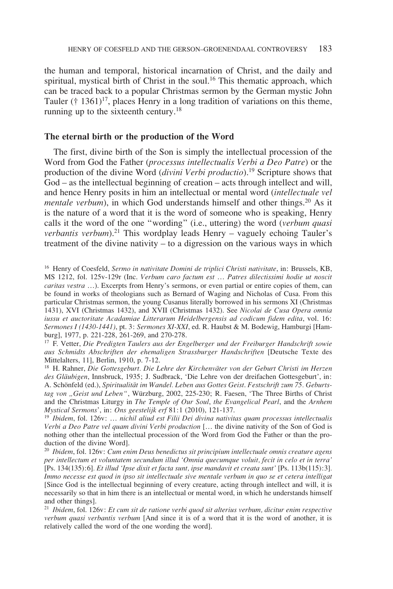the human and temporal, historical incarnation of Christ, and the daily and spiritual, mystical birth of Christ in the soul.<sup>16</sup> This thematic approach, which can be traced back to a popular Christmas sermon by the German mystic John Tauler († 1361)<sup>17</sup>, places Henry in a long tradition of variations on this theme, running up to the sixteenth century.<sup>18</sup>

### **The eternal birth or the production of the Word**

The first, divine birth of the Son is simply the intellectual procession of the Word from God the Father (*processus intellectualis Verbi a Deo Patre*) or the production of the divine Word (*divini Verbi productio*).19 Scripture shows that God – as the intellectual beginning of creation – acts through intellect and will, and hence Henry posits in him an intellectual or mental word (*intellectuale vel mentale verbum*), in which God understands himself and other things.<sup>20</sup> As it is the nature of a word that it is the word of someone who is speaking, Henry calls it the word of the one "wording" (i.e., uttering) the word (*verbum quasi verbantis verbum*).<sup>21</sup> This wordplay leads Henry – vaguely echoing Tauler's treatment of the divine nativity – to a digression on the various ways in which

<sup>17</sup> F. Vetter, *Die Predigten Taulers aus der Engelberger und der Freiburger Handschrift sowie aus Schmidts Abschriften der ehemaligen Strassburger Handschriften* [Deutsche Texte des Mittelalters, 11], Berlin, 1910, p. 7-12.

<sup>18</sup> H. Rahner, *Die Gottesgeburt. Die Lehre der Kirchenväter von der Geburt Christi im Herzen des Gläubigen*, Innsbruck, 1935; J. Sudbrack, 'Die Lehre von der dreifachen Gottesgeburt', in: A. Schönfeld (ed.), *Spiritualität im Wandel. Leben aus Gottes Geist*. *Festschrift zum 75. Geburtstag von "Geist und Leben"*, Würzburg, 2002, 225-230; R. Faesen, 'The Three Births of Christ and the Christmas Liturgy in *The Temple of Our Soul*, *the Evangelical Pearl*, and the *Arnhem Mystical Sermons*', in: *Ons geestelijk erf* 81:1 (2010), 121-137.

<sup>19</sup> *Ibidem*, fol. 126v: … *nichil aliud est Filii Dei divina nativitas quam processus intellectualis Verbi a Deo Patre vel quam divini Verbi production* [… the divine nativity of the Son of God is nothing other than the intellectual procession of the Word from God the Father or than the production of the divine Word].

<sup>20</sup> *Ibidem*, fol. 126v: *Cum enim Deus benedictus sit principium intellectuale omnis creature agens per intellectum et voluntatem secundum illud 'Omnia quecumque voluit, fecit in celo et in terra'*  [Ps. 134(135):6]*. Et illud 'Ipse dixit et facta sunt, ipse mandavit et creata sunt'* [Ps. 113b(115):3]*. Immo necesse est quod in ipso sit intellectuale sive mentale verbum in quo se et cetera intelligat* [Since God is the intellectual beginning of every creature, acting through intellect and will, it is necessarily so that in him there is an intellectual or mental word, in which he understands himself and other things].

<sup>21</sup> *Ibidem*, fol. 126v: *Et cum sit de ratione verbi quod sit alterius verbum, dicitur enim respective verbum quasi verbantis verbum* [And since it is of a word that it is the word of another, it is relatively called the word of the one wording the word].

<sup>16</sup> Henry of Coesfeld, *Sermo in nativitate Domini de triplici Christi nativitate*, in: Brussels, KB, MS 1212, fol. 125v-129r (Inc. *Verbum caro factum est … Patres dilectissimi hodie ut noscit caritas vestra …*). Excerpts from Henry's sermons, or even partial or entire copies of them, can be found in works of theologians such as Bernard of Waging and Nicholas of Cusa. From this particular Christmas sermon, the young Cusanus literally borrowed in his sermons XI (Christmas 1431), XVI (Christmas 1432), and XVII (Christmas 1432). See *Nicolai de Cusa Opera omnia iussu et auctoritate Acadamiae Litterarum Heidelbergensis ad codicum fidem edita*, vol. 16: *Sermones I (1430-1441)*, pt. 3: *Sermones XI-XXI*, ed. R. Haubst & M. Bodewig, Hamburgi [Hamburg], 1977, p. 221-228, 261-269, and 270-278.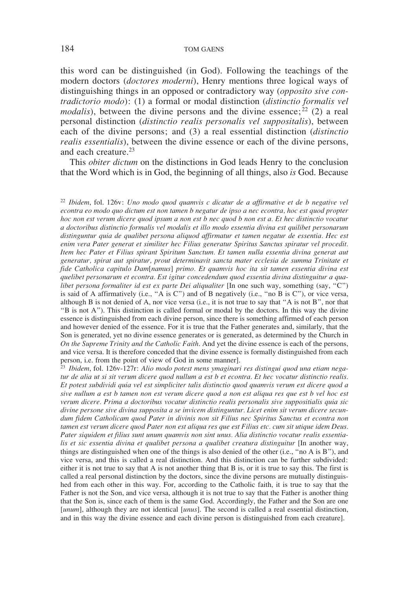this word can be distinguished (in God). Following the teachings of the modern doctors (*doctores moderni*), Henry mentions three logical ways of distinguishing things in an opposed or contradictory way (*opposito sive contradictorio modo*): (1) a formal or modal distinction (*distinctio formalis vel modalis*), between the divine persons and the divine essence;  $^{22}$  (2) a real personal distinction (*distinctio realis personalis vel suppositalis*), between each of the divine persons; and (3) a real essential distinction (*distinctio realis essentialis*), between the divine essence or each of the divine persons, and each creature.23

This *obiter dictum* on the distinctions in God leads Henry to the conclusion that the Word which is in God, the beginning of all things, also *is* God. Because

<sup>22</sup> *Ibidem*, fol. 126v: *Uno modo quod quamvis c dicatur de a affirmative et de b negative vel econtra eo modo quo dictum est non tamen b negatur de ipso a nec econtra, hoc est quod propter hoc non est verum dicere quod ipsum a non est b nec quod b non est a. Et hec distinctio vocatur a doctoribus distinctio formalis vel modalis et illo modo essentia divina est quilibet personarum distinguntur quia de qualibet persona aliquod affirmatur et tamen negatur de essentia. Hec est enim vera Pater generat et similiter hec Filius generatur Spiritus Sanctus spiratur vel procedit. Item hec Pater et Filius spirant Spiritum Sanctum. Et tamen nulla essentia divina generat aut generatur, spirat aut spiratur, prout determinavit sancta mater ecclesia de summa Trinitate et fide Catholica capitulo Dam*[*namus*] *primo. Et quamvis hoc ita sit tamen essentia divina est quelibet personarum et econtra. Est igitur concedendum quod essentia divina distinguitur a qualibet persona formaliter id est ex parte Dei aliqualiter* [In one such way, something (say, "C") is said of A affirmatively (i.e., "A is C") and of B negatively (i.e., "no B is C"), or vice versa, although B is not denied of A, nor vice versa (i.e., it is not true to say that "A is not B", nor that "B is not A"). This distinction is called formal or modal by the doctors. In this way the divine essence is distinguished from each divine person, since there is something affirmed of each person and however denied of the essence. For it is true that the Father generates and, similarly, that the Son is generated, yet no divine essence generates or is generated, as determined by the Church in *On the Supreme Trinity and the Catholic Faith*. And yet the divine essence is each of the persons, and vice versa. It is therefore conceded that the divine essence is formally distinguished from each person, i.e. from the point of view of God in some manner].

<sup>23</sup> *Ibidem*, fol. 126v-127r: *Alio modo potest mens ymaginari res distingui quod una etiam negatur de alia ut si sit verum dicere quod nullum a est b et econtra. Et hec vocatur distinctio realis. Et potest subdividi quia vel est simpliciter talis distinctio quod quamvis verum est dicere quod a sive nullum a est b tamen non est verum dicere quod a non est aliqua res que est b vel hoc est verum dicere. Prima a doctoribus vocatur distinctio realis personalis sive suppositialis quia sic divine persone sive divina supposita a se invicem distinguntur. Licet enim sit verum dicere secundum fidem Catholicam quod Pater in divinis non sit Filius nec Spiritus Sanctus et econtra non tamen est verum dicere quod Pater non est aliqua res que est Filius etc. cum sit utique idem Deus. Pater siquidem et filius sunt unum quamvis non sint unus. Alia distinctio vocatur realis essentia*lis et sic essentia divina et qualibet persona a qualibet creatura distinguitur [In another way, things are distinguished when one of the things is also denied of the other (i.e., "no A is B"), and vice versa, and this is called a real distinction. And this distinction can be further subdivided: either it is not true to say that A is not another thing that B is, or it is true to say this. The first is called a real personal distinction by the doctors, since the divine persons are mutually distinguished from each other in this way. For, according to the Catholic faith, it is true to say that the Father is not the Son, and vice versa, although it is not true to say that the Father is another thing that the Son is, since each of them is the same God. Accordingly, the Father and the Son are one [*unum*], although they are not identical [*unus*]. The second is called a real essential distinction, and in this way the divine essence and each divine person is distinguished from each creature].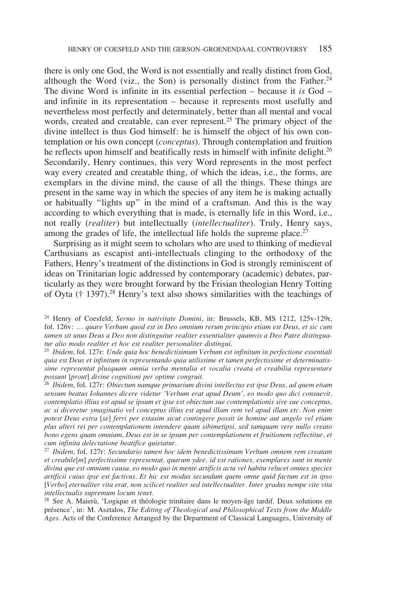there is only one God, the Word is not essentially and really distinct from God, although the Word (viz., the Son) is personally distinct from the Father.<sup>24</sup> The divine Word is infinite in its essential perfection – because it *is* God – and infinite in its representation – because it represents most usefully and nevertheless most perfectly and determinately, better than all mental and vocal words, created and creatable, can ever represent.<sup>25</sup> The primary object of the divine intellect is thus God himself: he is himself the object of his own contemplation or his own concept (*conceptus*). Through contemplation and fruition he reflects upon himself and beatifically rests in himself with infinite delight.<sup>26</sup> Secondarily, Henry continues, this very Word represents in the most perfect way every created and creatable thing, of which the ideas, i.e., the forms, are exemplars in the divine mind, the cause of all the things. These things are present in the same way in which the species of any item he is making actually or habitually "lights up" in the mind of a craftsman. And this is the way according to which everything that is made, is eternally life in this Word, i.e., not really (*realiter*) but intellectually (*intellectualiter*). Truly, Henry says, among the grades of life, the intellectual life holds the supreme place.<sup>27</sup>

Surprising as it might seem to scholars who are used to thinking of medieval Carthusians as escapist anti-intellectuals clinging to the orthodoxy of the Fathers, Henry's treatment of the distinctions in God is strongly reminiscent of ideas on Trinitarian logic addressed by contemporary (academic) debates, particularly as they were brought forward by the Frisian theologian Henry Totting of Oyta († 1397).28 Henry's text also shows similarities with the teachings of

<sup>24</sup> Henry of Coesfeld, *Sermo in nativitate Domini*, in: Brussels, KB, MS 1212, 125v-129r, fol. 126v: … *quare Verbum quod est in Deo omnium rerum principio etiam est Deus, et sic cum tamen sit unus Deus a Deo non distinguitur realiter essentialiter quamvis a Deo Patre distinguatur alio modo realiter et hoc est realiter personaliter distingui*.

<sup>25</sup> *Ibidem*, fol. 127r: *Unde quia hoc benedictisimum Verbum est infinitum in perfectione essentiali quia est Deus et infinitum in representando quia utilissime et tamen perfectissime et determinatissime representat plusquam omnia verba mentalia et vocalia creata et creabilia representare possunt* [*prout*] *divine cognitioni per optime congruit*.

<sup>26</sup> *Ibidem*, fol. 127r: *Obiectum namque primarium divini intellectus est ipse Deus, ad quem etiam sensum beatus Iohannes dicere videtur 'Verbum erat apud Deum', eo modo quo dici consuevit, contemplatio illius est apud se ipsum et ipse est obiectum sue contemplationis sive sue conceptus, ac si diceretur ymaginatio vel conceptus illius est apud illam rem vel apud illam etc. Non enim potest Deus extra* [*se*] *ferri per extasim sicut contingere possit in homine aut angelo vel etiam plus alteri rei per contemplationem intendere quam sibimetipsi, sed tamquam vere nullo creato bono egens quam omnium, Deus est in se ipsum per contemplationem et fruitionem reflectitur, et cum infinita delectatione beatifice quietatur*.

<sup>27</sup> *Ibidem*, fol. 127r: *Secundario tamen hoc idem benedictissimum Verbum omnem rem creatam et creabile*[*m*] *perfectissime representat, quarum ydee, id est rationes, exemplares sunt in mente divina que est omnium causa, eo modo quo in mente artificis actu vel habitu relucet omnes species artificii cuius ipse est factivus*. *Et hic est modus secundum quem omne quid factum est in ipso*  [*Verbo*] *eternaliter vita erat, non scilicet realiter sed intellectualiter. Inter gradus nempe vite vita intellectualis supremum locum tenet.*

<sup>28</sup> See A. Maierù, 'Logique et théologie trinitaire dans le moyen-âge tardif. Deux solutions en présence', in: M. Asztalos, *The Editing of Theological and Philosophical Texts from the Middle Ages*. Acts of the Conference Arranged by the Department of Classical Languages, University of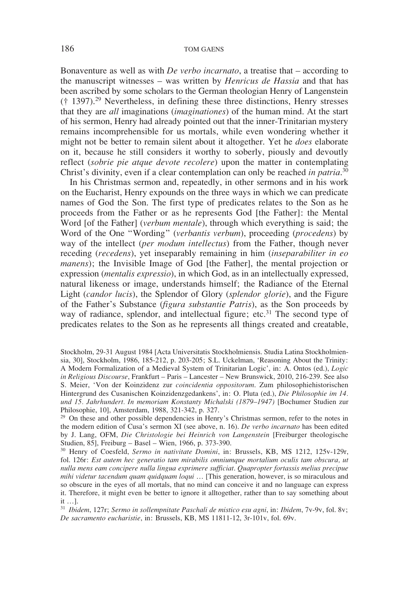Bonaventure as well as with *De verbo incarnato*, a treatise that – according to the manuscript witnesses – was written by *Henricus de Hassia* and that has been ascribed by some scholars to the German theologian Henry of Langenstein († 1397).29 Nevertheless, in defining these three distinctions, Henry stresses that they are *all* imaginations (*imaginationes*) of the human mind. At the start of his sermon, Henry had already pointed out that the inner-Trinitarian mystery remains incomprehensible for us mortals, while even wondering whether it might not be better to remain silent about it altogether. Yet he *does* elaborate on it, because he still considers it worthy to soberly, piously and devoutly reflect (*sobrie pie atque devote recolere*) upon the matter in contemplating Christ's divinity, even if a clear contemplation can only be reached *in patria*. 30

In his Christmas sermon and, repeatedly, in other sermons and in his work on the Eucharist, Henry expounds on the three ways in which we can predicate names of God the Son. The first type of predicates relates to the Son as he proceeds from the Father or as he represents God [the Father]: the Mental Word [of the Father] (*verbum mentale*), through which everything is said; the Word of the One "Wording" (*verbantis verbum*), proceeding (*procedens*) by way of the intellect (*per modum intellectus*) from the Father, though never receding (*recedens*), yet inseparably remaining in him (*inseparabiliter in eo manens*); the Invisible Image of God [the Father], the mental projection or expression (*mentalis expressio*), in which God, as in an intellectually expressed, natural likeness or image, understands himself; the Radiance of the Eternal Light (*candor lucis*), the Splendor of Glory (*splendor glorie*), and the Figure of the Father's Substance (*figura substantie Patris*), as the Son proceeds by way of radiance, splendor, and intellectual figure; etc.<sup>31</sup> The second type of predicates relates to the Son as he represents all things created and creatable,

Stockholm, 29-31 August 1984 [Acta Universitatis Stockholmiensis. Studia Latina Stockholmiensia, 30], Stockholm, 1986, 185-212, p. 203-205; S.L. Uckelman, 'Reasoning About the Trinity: A Modern Formalization of a Medieval System of Trinitarian Logic', in: A. Ontos (ed.), *Logic in Religious Discourse*, Frankfurt – Paris – Lancester – New Brunswick, 2010, 216-239. See also S. Meier, 'Von der Koinzidenz zur *coincidentia oppositorum*. Zum philosophiehistorischen Hintergrund des Cusanischen Koinzidenzgedankens', in: O. Pluta (ed.), *Die Philosophie im 14. und 15. Jahrhundert. In memoriam Konstanty Michalski (1879–1947)* [Bochumer Studien zur

 $29$  On these and other possible dependencies in Henry's Christmas sermon, refer to the notes in the modern edition of Cusa's sermon XI (see above, n. 16). *De verbo incarnato* has been edited by J. Lang, OFM, *Die Christologie bei Heinrich von Langenstein* [Freiburger theologische Studien, 85], Freiburg – Basel – Wien, 1966, p. 373-390.

<sup>30</sup> Henry of Coesfeld, *Sermo in nativitate Domini*, in: Brussels, KB, MS 1212, 125v-129r, fol. 126r: *Est autem hec generatio tam mirabilis omniumque mortalium oculis tam obscura, ut nulla mens eam concipere nulla lingua exprimere sufficiat*. *Quapropter fortassis melius precipue mihi videtur tacendum quam quidquam loqui* … [This generation, however, is so miraculous and so obscure in the eyes of all mortals, that no mind can conceive it and no language can express it. Therefore, it might even be better to ignore it alltogether, rather than to say something about it …].

<sup>31</sup> *Ibidem*, 127r; *Sermo in sollempnitate Paschali de mistico esu agni*, in: *Ibidem*, 7v-9v, fol. 8v; *De sacramento eucharistie*, in: Brussels, KB, MS 11811-12, 3r-101v, fol. 69v.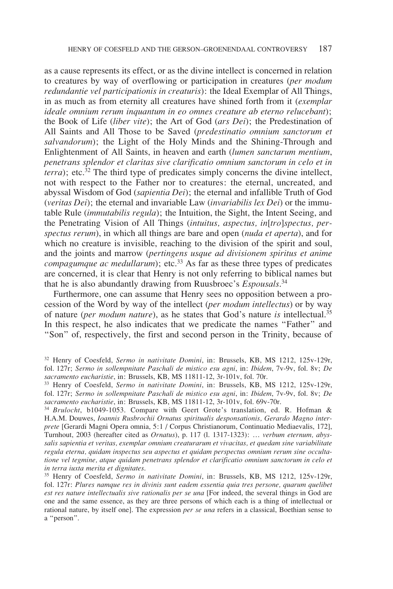as a cause represents its effect, or as the divine intellect is concerned in relation to creatures by way of overflowing or participation in creatures (*per modum redundantie vel participationis in creaturis*): the Ideal Exemplar of All Things, in as much as from eternity all creatures have shined forth from it (*exemplar ideale omnium rerum inquantum in eo omnes creature ab eterno relucebant*); the Book of Life (*liber vite*); the Art of God (*ars Dei*); the Predestination of All Saints and All Those to be Saved (*predestinatio omnium sanctorum et salvandorum*); the Light of the Holy Minds and the Shining-Through and Enlightenment of All Saints, in heaven and earth (*lumen sanctarum mentium*, *penetrans splendor et claritas sive clarificatio omnium sanctorum in celo et in terra*); etc.<sup>32</sup> The third type of predicates simply concerns the divine intellect, not with respect to the Father nor to creatures: the eternal, uncreated, and abyssal Wisdom of God (*sapientia Dei*); the eternal and infallible Truth of God (*veritas Dei*); the eternal and invariable Law (*invariabilis lex Dei*) or the immutable Rule (*immutabilis regula*); the Intuition, the Sight, the Intent Seeing, and the Penetrating Vision of All Things (*intuitus, aspectus, in*[*tro*]*spectus, perspectus rerum*), in which all things are bare and open (*nuda et aperta*), and for which no creature is invisible, reaching to the division of the spirit and soul, and the joints and marrow (*pertingens usque ad divisionem spiritus et anime compagumque ac medullarum*); etc.<sup>33</sup> As far as these three types of predicates are concerned, it is clear that Henry is not only referring to biblical names but that he is also abundantly drawing from Ruusbroec's *Espousals*. 34

Furthermore, one can assume that Henry sees no opposition between a procession of the Word by way of the intellect (*per modum intellectus*) or by way of nature (*per modum nature*), as he states that God's nature *is* intellectual.35 In this respect, he also indicates that we predicate the names "Father" and "Son" of, respectively, the first and second person in the Trinity, because of

<sup>32</sup> Henry of Coesfeld, *Sermo in nativitate Domini*, in: Brussels, KB, MS 1212, 125v-129r, fol. 127r; *Sermo in sollempnitate Paschali de mistico esu agni*, in: *Ibidem*, 7v-9v, fol. 8v; *De sacramento eucharistie*, in: Brussels, KB, MS 11811-12, 3r-101v, fol. 70r.

<sup>33</sup> Henry of Coesfeld, *Sermo in nativitate Domini*, in: Brussels, KB, MS 1212, 125v-129r, fol. 127r; *Sermo in sollempnitate Paschali de mistico esu agni*, in: *Ibidem*, 7v-9v, fol. 8v; *De sacramento eucharistie*, in: Brussels, KB, MS 11811-12, 3r-101v, fol. 69v-70r.

<sup>34</sup> *Brulocht*, b1049-1053. Compare with Geert Grote's translation, ed. R. Hofman & H.A.M. Douwes, *Ioannis Rusbrochii Ornatus spiritualis desponsationis, Gerardo Magno interprete* [Gerardi Magni Opera omnia, 5:1 / Corpus Christianorum, Continuatio Mediaevalis, 172], Turnhout, 2003 (hereafter cited as *Ornatus*), p. 117 (l. 1317-1323): … *verbum eternum, abyssalis sapientia et veritas, exemplar omnium creaturarum et vivacitas, et quedam sine variabilitate regula eterna, quidam inspectus seu aspectus et quidam perspectus omnium rerum sine occultatione vel tegmine, atque quidam penetrans splendor et clarificatio omnium sanctorum in celo et in terra iuxta merita et dignitates*.

<sup>35</sup> Henry of Coesfeld, *Sermo in nativitate Domini*, in: Brussels, KB, MS 1212, 125v-129r, fol. 127r: *Plures namque res in divinis sunt eadem essentia quia tres persone, quarum quelibet est res nature intellectualis sive rationalis per se una* [For indeed, the several things in God are one and the same essence, as they are three persons of which each is a thing of intellectual or rational nature, by itself one]. The expression *per se una* refers in a classical, Boethian sense to a "person".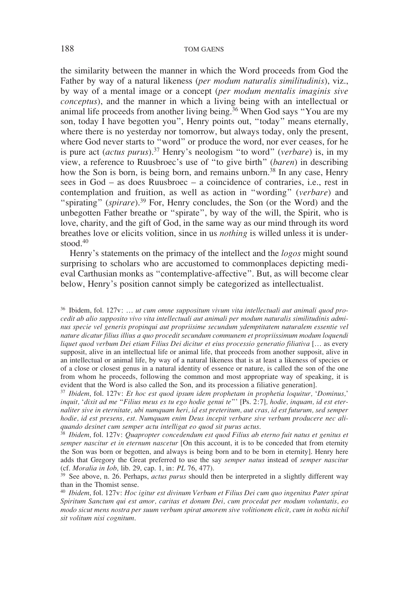the similarity between the manner in which the Word proceeds from God the Father by way of a natural likeness (*per modum naturalis similitudinis*), viz., by way of a mental image or a concept (*per modum mentalis imaginis sive conceptus*), and the manner in which a living being with an intellectual or animal life proceeds from another living being.<sup>36</sup> When God says "You are my son, today I have begotten you", Henry points out, "today" means eternally, where there is no vesterday nor tomorrow, but always today, only the present, where God never starts to "word" or produce the word, nor ever ceases, for he is pure act (*actus purus*).37 Henry's neologism "to word" (*verbare*) is, in my view, a reference to Ruusbroec's use of "to give birth" (*baren*) in describing how the Son is born, is being born, and remains unborn.<sup>38</sup> In any case, Henry sees in God – as does Ruusbroec – a coincidence of contraries, i.e., rest in contemplation and fruition, as well as action in "wording" (*verbare*) and "spirating" (*spirare*).<sup>39</sup> For, Henry concludes, the Son (or the Word) and the unbegotten Father breathe or "spirate", by way of the will, the Spirit, who is love, charity, and the gift of God, in the same way as our mind through its word breathes love or elicits volition, since in us *nothing* is willed unless it is understood.40

Henry's statements on the primacy of the intellect and the *logos* might sound surprising to scholars who are accustomed to commonplaces depicting medieval Carthusian monks as "contemplative-affective". But, as will become clear below, Henry's position cannot simply be categorized as intellectualist.

<sup>36</sup> Ibidem, fol. 127v: … *ut cum omne suppositum vivum vita intellectuali aut animali quod procedit ab alio supposito vivo vita intellectuali aut animali per modum naturalis similitudinis adminus specie vel generis propinqui aut propriisime secundum ydemptitatem naturalem essentie vel nature dicatur filius illius a quo procedit secundum communem et propriissimum modum loquendi liquet quod verbum Dei etiam Filius Dei dicitur et eius processio generatio filiativa* [… as every supposit, alive in an intellectual life or animal life, that proceeds from another supposit, alive in an intellectual or animal life, by way of a natural likeness that is at least a likeness of species or of a close or closest genus in a natural identity of essence or nature, is called the son of the one from whom he proceeds, following the common and most appropriate way of speaking, it is evident that the Word is also called the Son, and its procession a filiative generation].

<sup>37</sup> *Ibidem*, fol. 127v: *Et hoc est quod ipsum idem prophetam in prophetia loquitur,* '*Dominus,*' *inquit,* '*dixit ad me* "*Filius meus es tu ego hodie genui te*"' [Ps. 2:7]*, hodie, inquam, id est eternaliter sive in eternitate, ubi numquam heri, id est preteritum, aut cras, id est futurum, sed semper hodie, id est presens, est. Numquam enim Deus incepit verbare sive verbum producere nec aliquando desinet cum semper actu intelligat eo quod sit purus actus*.

<sup>38</sup> *Ibidem*, fol. 127v: *Quapropter concedendum est quod Filius ab eterno fuit natus et genitus et semper nascitur et in eternum nascetur* [On this account, it is to be conceded that from eternity the Son was born or begotten, and always is being born and to be born in eternity]. Henry here adds that Gregory the Great preferred to use the say *semper natus* instead of *semper nascitur* (cf. *Moralia in Iob*, lib. 29, cap. 1, in: *PL* 76, 477).

<sup>39</sup> See above, n. 26. Perhaps, *actus purus* should then be interpreted in a slightly different way than in the Thomist sense.

<sup>40</sup> *Ibidem*, fol. 127v: *Hoc igitur est divinum Verbum et Filius Dei cum quo ingenitus Pater spirat Spiritum Sanctum qui est amor, caritas et donum Dei, cum procedat per modum voluntatis, eo modo sicut mens nostra per suum verbum spirat amorem sive volitionem elicit, cum in nobis nichil sit volitum nisi cognitum*.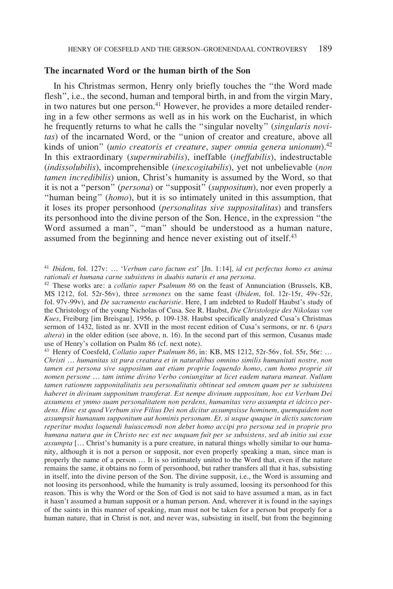## **The incarnated Word or the human birth of the Son**

In his Christmas sermon, Henry only briefly touches the "the Word made flesh", i.e., the second, human and temporal birth, in and from the virgin Mary, in two natures but one person.<sup>41</sup> However, he provides a more detailed rendering in a few other sermons as well as in his work on the Eucharist, in which he frequently returns to what he calls the "singular novelty" (*singularis novitas*) of the incarnated Word, or the "union of creator and creature, above all kinds of union" (*unio creatoris et creature*, *super omnia genera unionum*).42 In this extraordinary (*supermirabilis*), ineffable (*ineffabilis*), indestructable (*indissolubilis*), incomprehensible (*inexcogitabilis*), yet not unbelievable (*non tamen incredibilis*) union, Christ's humanity is assumed by the Word, so that it is not a "person" (*persona*) or "supposit" (*suppositum*), nor even properly a "human being" (*homo*), but it is so intimately united in this assumption, that it loses its proper personhood (*personalitas sive suppositalitas*) and transfers its personhood into the divine person of the Son. Hence, in the expression "the Word assumed a man", "man" should be understood as a human nature, assumed from the beginning and hence never existing out of itself.<sup>43</sup>

<sup>43</sup> Henry of Coesfeld, *Collatio super Psalmum 86*, in: KB, MS 1212, 52r-56v, fol. 55r, 56r: … *Christi* … *humanitas sit pura creatura et in naturalibus omnino similis humanitati nostre, non tamen est persona sive suppositum aut etiam proprie loquendo homo, cum homo proprie sit nomen persone* … *tam intime divino Verbo coniungitur ut licet eadem natura maneat. Nullam tamen rationem supponitalitatis seu personalitatis obtineat sed omnem quam per se subsistens haberet in divinum supponitum transferat. Est nempe divinum suppositum, hoc est Verbum Dei assumens et ymmo suam personalitatem non perdens, humanitas vero assumpta et idcirco perdens. Hinc est quod Verbum sive Filius Dei non dicitur assumpsisse hominem, quemquidem non assumpsit humanum supponitum aut hominis personam. Et, si usque quaque in dictis sanctorum reperitur modus loquendi huiuscemodi non debet homo accipi pro persona sed in proprie pro humana natura que in Christo nec est nec unquam fuit per se subsistens, sed ab initio sui esse assumpta* [… Christ's humanity is a pure creature, in natural things wholly similar to our humanity, although it is not a person or supposit, nor even properly speaking a man, since man is properly the name of a person … It is so intimately united to the Word that, even if the nature remains the same, it obtains no form of personhood, but rather transfers all that it has, subsisting in itself, into the divine person of the Son. The divine supposit, i.e., the Word is assuming and not loosing its personhood, while the humanity is truly assumed, loosing its personhood for this reason. This is why the Word or the Son of God is not said to have assumed a man, as in fact it hasn't assumed a human supposit or a human person. And, wherever it is found in the sayings of the saints in this manner of speaking, man must not be taken for a person but properly for a human nature, that in Christ is not, and never was, subsisting in itself, but from the beginning

<sup>41</sup> *Ibidem*, fol. 127v: *…* '*Verbum caro factum est*' [Jn. 1:14]*, id est perfectus homo ex anima rationali et humana carne subsistens in duabis naturis et una persona*.

<sup>42</sup> These works are: a *collatio super Psalmum 86* on the feast of Annunciation (Brussels, KB, MS 1212, fol. 52r-56v), three *sermones* on the same feast (*Ibidem*, fol. 12r-15r, 49v-52r, fol. 97v-99v), and *De sacramento eucharistie*. Here, I am indebted to Rudolf Haubst's study of the Christology of the young Nicholas of Cusa. See R. Haubst, *Die Christologie des Nikolaus von Kues*, Freiburg [im Breisgau], 1956, p. 109-138. Haubst specifically analyzed Cusa's Christmas sermon of 1432, listed as nr. XVII in the most recent edition of Cusa's sermons, or nr. 6 (*pars altera*) in the older edition (see above, n. 16). In the second part of this sermon, Cusanus made use of Henry's collation on Psalm 86 (cf. next note).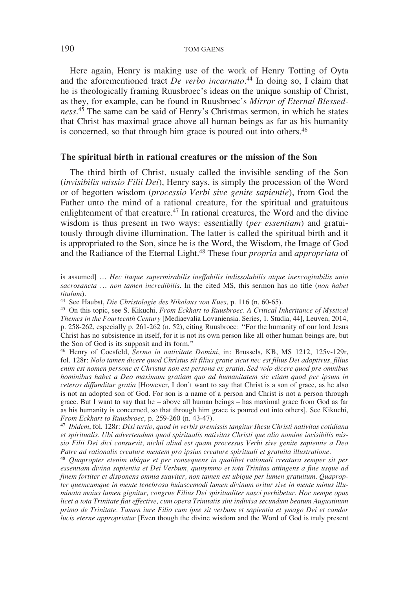Here again, Henry is making use of the work of Henry Totting of Oyta and the aforementioned tract *De verbo incarnato*. 44 In doing so, I claim that he is theologically framing Ruusbroec's ideas on the unique sonship of Christ, as they, for example, can be found in Ruusbroec's *Mirror of Eternal Blessedness*. 45 The same can be said of Henry's Christmas sermon, in which he states that Christ has maximal grace above all human beings as far as his humanity is concerned, so that through him grace is poured out into others.<sup>46</sup>

### **The spiritual birth in rational creatures or the mission of the Son**

The third birth of Christ, usualy called the invisible sending of the Son (*invisibilis missio Filii Dei*), Henry says, is simply the procession of the Word or of begotten wisdom (*processio Verbi sive genite sapientie*), from God the Father unto the mind of a rational creature, for the spiritual and gratuitous enlightenment of that creature.<sup>47</sup> In rational creatures, the Word and the divine wisdom is thus present in two ways: essentially (*per essentiam*) and gratuitously through divine illumination. The latter is called the spiritual birth and it is appropriated to the Son, since he is the Word, the Wisdom, the Image of God and the Radiance of the Eternal Light.48 These four *propria* and *appropriata* of

<sup>44</sup> See Haubst, *Die Christologie des Nikolaus von Kues*, p. 116 (n. 60-65).

<sup>45</sup> On this topic, see S. Kikuchi, *From Eckhart to Ruusbroec. A Critical Inheritance of Mystical Themes in the Fourteenth Century* [Mediaevalia Lovaniensia. Series, 1. Studia, 44], Leuven, 2014, p. 258-262, especially p. 261-262 (n. 52), citing Ruusbroec: "For the humanity of our lord Jesus Christ has no subsistence in itself, for it is not its own person like all other human beings are, but the Son of God is its supposit and its form."

<sup>46</sup> Henry of Coesfeld, *Sermo in nativitate Domini*, in: Brussels, KB, MS 1212, 125v-129r, fol. 128r: *Nolo tamen dicere quod Christus sit filius gratie sicut nec est filius Dei adoptivus, filius enim est nomen persone et Christus non est persona ex gratia. Sed volo dicere quod pre omnibus hominibus habet a Deo maximam gratiam quo ad humanitatem sic etiam quod per ipsum in ceteros diffunditur gratia* [However, I don't want to say that Christ is a son of grace, as he also is not an adopted son of God. For son is a name of a person and Christ is not a person through grace. But I want to say that he – above all human beings – has maximal grace from God as far as his humanity is concerned, so that through him grace is poured out into others]. See Kikuchi, *From Eckhart to Ruusbroec*, p. 259-260 (n. 43-47).

*From Eckhart to Ruusbroec*, p. 259-260 (n. 43-47). 47 *Ibidem*, fol. 128r: *Dixi tertio, quod in verbis premissis tangitur Ihesu Christi nativitas cotidiana et spiritualis. Ubi advertendum quod spiritualis nativitas Christi que alio nomine invisibilis missio Filii Dei dici consuevit, nichil aliud est quam processus Verbi sive genite sapientie a Deo Patre ad rationalis creature mentem pro ipsius creature spirituali et gratuita illustratione*.

<sup>48</sup> *Quapropter etenim ubique et per consequens in qualibet rationali creatura semper sit per essentiam divina sapientia et Dei Verbum, quinymmo et tota Trinitas attingens a fine usque ad finem fortiter et disponens omnia suaviter, non tamen est ubique per lumen gratuitum*. *Quapropter quemcumque in mente tenebrosa huiuscemodi lumen divinum oritur sive in mente minus illuminata maius lumen gignitur, congrue Filius Dei spiritualiter nasci perhibetur*. *Hoc nempe opus licet a tota Trinitate fiat effective, cum opera Trinitatis sint indivisa secundum beatum Augustinum primo de Trinitate. Tamen iure Filio cum ipse sit verbum et sapientia et ymago Dei et candor lucis eterne appropriatur* [Even though the divine wisdom and the Word of God is truly present

is assumed] … *Hec itaque supermirabilis ineffabilis indissolubilis atque inexcogitabilis unio sacrosancta* … *non tamen incredibilis*. In the cited MS, this sermon has no title (*non habet titulum*).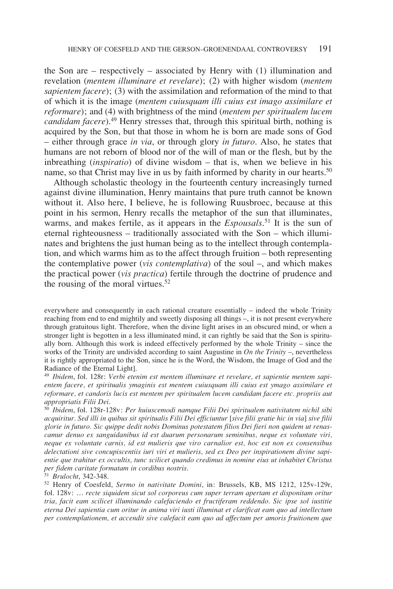the Son are – respectively – associated by Henry with (1) illumination and revelation (*mentem illuminare et revelare*); (2) with higher wisdom (*mentem sapientem facere*); (3) with the assimilation and reformation of the mind to that of which it is the image (*mentem cuiusquam illi cuius est imago assimilare et reformare*); and (4) with brightness of the mind (*mentem per spiritualem lucem candidam facere*).49 Henry stresses that, through this spiritual birth, nothing is acquired by the Son, but that those in whom he is born are made sons of God – either through grace *in via*, or through glory *in futuro*. Also, he states that humans are not reborn of blood nor of the will of man or the flesh, but by the inbreathing (*inspiratio*) of divine wisdom – that is, when we believe in his name, so that Christ may live in us by faith informed by charity in our hearts.<sup>50</sup>

Although scholastic theology in the fourteenth century increasingly turned against divine illumination, Henry maintains that pure truth cannot be known without it. Also here, I believe, he is following Ruusbroec, because at this point in his sermon, Henry recalls the metaphor of the sun that illuminates, warms, and makes fertile, as it appears in the *Espousals*. 51 It is the sun of eternal righteousness – traditionally associated with the Son – which illuminates and brightens the just human being as to the intellect through contemplation, and which warms him as to the affect through fruition – both representing the contemplative power (*vis contemplativa*) of the soul –, and which makes the practical power (*vis practica*) fertile through the doctrine of prudence and the rousing of the moral virtues.<sup>52</sup>

everywhere and consequently in each rational creature essentially – indeed the whole Trinity reaching from end to end mightily and sweetly disposing all things –, it is not present everywhere through gratuitous light. Therefore, when the divine light arises in an obscured mind, or when a stronger light is begotten in a less illuminated mind, it can rightly be said that the Son is spiritually born. Although this work is indeed effectively performed by the whole Trinity – since the works of the Trinity are undivided according to saint Augustine in *On the Trinity* –, nevertheless it is rightly appropriated to the Son, since he is the Word, the Wisdom, the Image of God and the Radiance of the Eternal Light].

<sup>49</sup> *Ibidem*, fol. 128r: *Verbi etenim est mentem illuminare et revelare, et sapientie mentem sapientem facere, et spiritualis ymaginis est mentem cuiusquam illi cuius est ymago assimilare et reformare, et candoris lucis est mentem per spiritualem lucem candidam facere etc. propriis aut appropriatis Filii Dei*.

<sup>50</sup> *Ibidem*, fol. 128r-128v: *Per huiuscemodi namque Filii Dei spiritualem nativitatem nichil sibi acquiritur. Sed illi in quibus sit spiritualis Filii Dei efficiuntur* [*sive filii gratie hic in via*] *sive filii glorie in futuro. Sic quippe dedit nobis Dominus potestatem filios Dei fieri non quidem ut renascamur denuo ex sanguidanibus id est duarum personarum seminibus, neque ex voluntate viri, neque ex voluntate carnis, id est mulieris que viro carnalior est, hoc est non ex consensibus delectationi sive concupiscentiis iuri viri et mulieris, sed ex Deo per inspirationem divine sapientie que trahitur ex occultis, tunc scilicet quando credimus in nomine eius ut inhabitet Christus per fidem caritate formatam in cordibus nostris*.

<sup>51</sup> *Brulocht*, 342-348.

<sup>52</sup> Henry of Coesfeld, *Sermo in nativitate Domini*, in: Brussels, KB, MS 1212, 125v-129r, fol. 128v: … *recte siquidem sicut sol corporeus cum super terram apertam et disponitam oritur tria, facit eam scilicet illuminando calefaciendo et fructiferam reddendo. Sic ipse sol iustitie eterna Dei sapientia cum oritur in anima viri iusti illuminat et clarificat eam quo ad intellectum per contemplationem, et accendit sive calefacit eam quo ad affectum per amoris fruitionem que*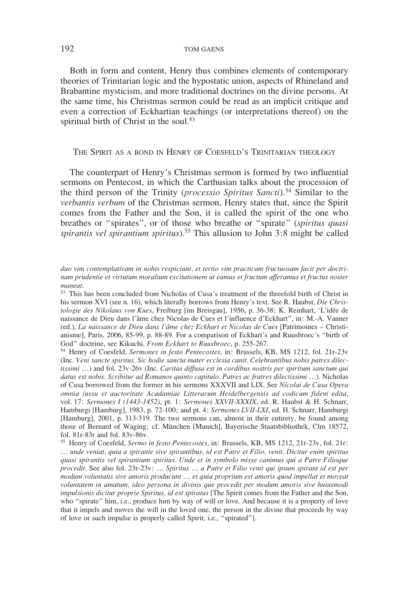Both in form and content, Henry thus combines elements of contemporary theories of Trinitarian logic and the hypostatic union, aspects of Rhineland and Brabantine mysticism, and more traditional doctrines on the divine persons. At the same time, his Christmas sermon could be read as an implicit critique and even a correction of Eckhartian teachings (or interpretations thereof) on the spiritual birth of Christ in the soul.<sup>53</sup>

## THE SPIRIT AS A BOND IN HENRY OF COESFELD'S TRINITARIAN THEOLOGY

The counterpart of Henry's Christmas sermon is formed by two influential sermons on Pentecost, in which the Carthusian talks about the procession of the third person of the Trinity (*processio Spiritus Sancti*).54 Similar to the *verbantis verbum* of the Christmas sermon, Henry states that, since the Spirit comes from the Father and the Son, it is called the spirit of the one who breathes or "spirates", or of those who breathe or "spirate" (*spiritus quasi spirantis vel spirantium spiritus*).55 This allusion to John 3:8 might be called

<sup>54</sup> Henry of Coesfeld, *Sermones in festo Pentecostes*, in: Brussels, KB, MS 1212, fol. 21r-23v (Inc. *Veni sancte spiritus. Sic hodie sancta mater ecclesia canit. Celebrantibus nobis patres dilectissimi* …) and fol. 23v-26v (Inc. *Caritas diffusa est in cordibus nostris per spiritum sanctum qui datus est nobis. Scribitur ad Romanos quinto capitulo. Patres ac fratres dilectissimi* …). Nicholas of Cusa borrowed from the former in his sermons XXXVII and LIX. See *Nicolai de Cusa Opera omnia iussu et auctoritate Acadamiae Litterarum Heidelbergensis ad codicum fidem edita*, vol. 17: *Sermones I (1443-1452)*, pt. 1: *Sermones XXVII-XXXIX*, ed. R. Haubst & H. Schnarr, Hamburgi [Hamburg], 1983, p. 72-100; and pt. 4: *Sermones LVII-LXI*, ed. H. Schnarr, Hamburgi [Hamburg], 2001, p. 313-319. The two sermons can, almost in their entirety, be found among those of Bernard of Waging; cf. München [Munich], Bayerische Staatsbibliothek, Clm 18572, fol. 81r-83r and fol. 83v-86v.

<sup>55</sup> Henry of Coesfeld, *Sermo in festo Pentecostes*, in: Brussels, KB, MS 1212, 21r-23v, fol. 21r: … *unde veniat, quia a spirante sive spirantibus, id est Patre et Filio, venit. Dicitur enim spiritus quasi spirantis vel spirantium spiritus. Unde et in symbolo misse canimus qui a Patre Filioque procedit.* See also fol. 23r-23v: … *Spiritus … a Patre et Filio venit qui ipsum spirant id est per*  modum voluntatis sive amoris producunt ... et quia proprium est amoris quod impellat et moveat *voluntatem in amatum, ideo persona in divinis que procedit per modum amoris sive huiusmodi impulsionis dicitur proprie Spiritus, id est spiratus* [The Spirit comes from the Father and the Son, who "spirate" him, i.e., produce him by way of will or love. And because it is a property of love that it impels and moves the will in the loved one, the person in the divine that proceeds by way of love or such impulse is properly called Spirit, i.e., "spirated"].

*duo vim contemplativam in nobis respiciunt, et tertio vim practicam fructuosam facit per doctrinam prudentie et virtutum moralium excitationem ut eamus et fructum afferamus et fructus noster maneat*.

<sup>53</sup> This has been concluded from Nicholas of Cusa's treatment of the threefold birth of Christ in his sermon XVI (see n. 16), which literally borrows from Henry's text. See R. Haubst, *Die Christologie des Nikolaus von Kues*, Freiburg [im Breisgau], 1956, p. 36-38; K. Reinhart, 'L'idée de naissance de Dieu dans l'âme chez Nicolas de Cues et l'influence d'Eckhart", in: M.-A. Vanner (ed.), *La naissance de Dieu dans l'âme chez Eckhart et Nicolas de Cues* [Patrimoines – Christianisme], Paris, 2006, 85-99, p. 88-89. For a comparison of Eckhart's and Ruusbroec's "birth of God" doctrine, see Kikuchi, *From Eckhart to Ruusbroec*, p. 255-267.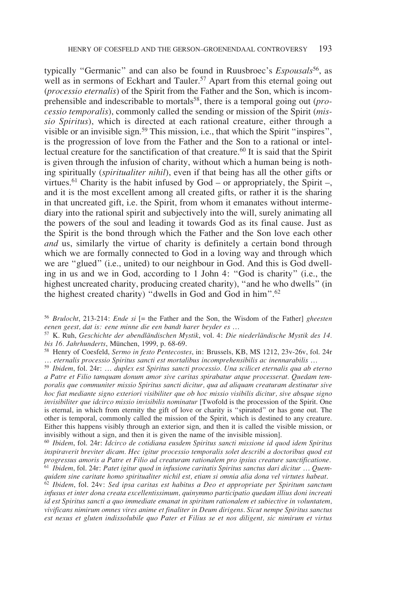typically "Germanic" and can also be found in Ruusbroec's *Espousals*56, as well as in sermons of Eckhart and Tauler.<sup>57</sup> Apart from this eternal going out (*processio eternalis*) of the Spirit from the Father and the Son, which is incomprehensible and indescribable to mortals58, there is a temporal going out (*processio temporalis*), commonly called the sending or mission of the Spirit (*missio Spiritus*), which is directed at each rational creature, either through a visible or an invisible sign.<sup>59</sup> This mission, i.e., that which the Spirit "inspires", is the progression of love from the Father and the Son to a rational or intellectual creature for the sanctification of that creature.<sup>60</sup> It is said that the Spirit is given through the infusion of charity, without which a human being is nothing spiritually (*spiritualiter nihil*), even if that being has all the other gifts or virtues.<sup>61</sup> Charity is the habit infused by God – or appropriately, the Spirit –, and it is the most excellent among all created gifts, or rather it is the sharing in that uncreated gift, i.e. the Spirit, from whom it emanates without intermediary into the rational spirit and subjectively into the will, surely animating all the powers of the soul and leading it towards God as its final cause. Just as the Spirit is the bond through which the Father and the Son love each other *and* us, similarly the virtue of charity is definitely a certain bond through which we are formally connected to God in a loving way and through which we are "glued" (i.e., united) to our neighbour in God. And this is God dwelling in us and we in God, according to 1 John 4: "God is charity" (i.e., the highest uncreated charity, producing created charity), "and he who dwells" (in the highest created charity) "dwells in God and God in him".62

<sup>57</sup> K. Ruh, *Geschichte der abendländischen Mystik*, vol. 4: *Die niederländische Mystik des 14. bis 16. Jahrhunderts*, München, 1999, p. 68-69.

<sup>59</sup> *Ibidem*, fol. 24r: *… duplex est Spiritus sancti processio. Una scilicet eternalis qua ab eterno a Patre et Filio tamquam donum amor sive caritas spirabatur atque processerat. Quedam temporalis que communiter missio Spiritus sancti dicitur, qua ad aliquam creaturam destinatur sive hoc fiat mediante signo exteriori visibiliter que ob hoc missio visibilis dicitur, sive absque signo invisibiliter que idcirco missio invisibilis nominatur* [Twofold is the procession of the Spirit. One is eternal, in which from eternity the gift of love or charity is "spirated" or has gone out. The other is temporal, commonly called the mission of the Spirit, which is destined to any creature. Either this happens visibly through an exterior sign, and then it is called the visible mission, or invisibly without a sign, and then it is given the name of the invisible mission].

<sup>60</sup> *Ibidem*, fol. 24r: *Idcirco de cotidiana eusdem Spiritus sancti missione id quod idem Spiritus inspiraverit breviter dicam. Hec igitur processio temporalis solet describi a doctoribus quod est progressus amoris a Patre et Filio ad creaturam rationalem pro ipsius creature sanctificatione*. <sup>61</sup> *Ibidem*, fol. 24r: *Patet igitur quod in infusione caritatis Spiritus sanctus dari dicitur* … *Quemquidem sine caritate homo spiritualiter nichil est, etiam si omnia alia dona vel virtutes habeat*.

<sup>62</sup> *Ibidem*, fol. 24v: *Sed ipsa caritas est habitus a Deo et appropriate per Spiritum sanctum infusus et inter dona creata excellentissimum, quinymmo participatio quedam illius doni increati id est Spiritus sancti a quo immediate emanat in spiritum rationalem et subiective in voluntatem, vivificans nimirum omnes vires anime et finaliter in Deum dirigens*. *Sicut nempe Spiritus sanctus est nexus et gluten indissolubile quo Pater et Filius se et nos diligent, sic nimirum et virtus* 

<sup>56</sup> *Brulocht*, 213-214: *Ende si* [= the Father and the Son, the Wisdom of the Father] *gheesten eenen geest, dat is: eene minne die een bandt harer beyder es* …

<sup>58</sup> Henry of Coesfeld, *Sermo in festo Pentecostes*, in: Brussels, KB, MS 1212, 23v-26v, fol. 24r … *eternalis processio Spiritus sancti est mortalibus incomprehensibilis ac inennarabilis* …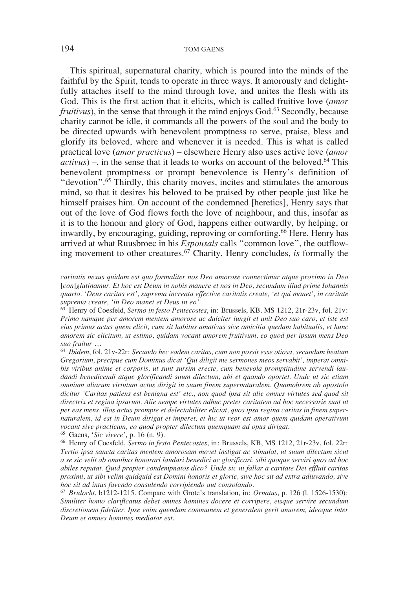This spiritual, supernatural charity, which is poured into the minds of the faithful by the Spirit, tends to operate in three ways. It amorously and delightfully attaches itself to the mind through love, and unites the flesh with its God. This is the first action that it elicits, which is called fruitive love (*amor fruitivus*), in the sense that through it the mind enjoys God.<sup>63</sup> Secondly, because charity cannot be idle, it commands all the powers of the soul and the body to be directed upwards with benevolent promptness to serve, praise, bless and glorify its beloved, where and whenever it is needed. This is what is called practical love (*amor practicus*) – elsewhere Henry also uses active love (*amor*   $activity$ ) –, in the sense that it leads to works on account of the beloved.<sup>64</sup> This benevolent promptness or prompt benevolence is Henry's definition of "devotion".65 Thirdly, this charity moves, incites and stimulates the amorous mind, so that it desires his beloved to be praised by other people just like he himself praises him. On account of the condemned [heretics], Henry says that out of the love of God flows forth the love of neighbour, and this, insofar as it is to the honour and glory of God, happens either outwardly, by helping, or inwardly, by encouraging, guiding, reproving or comforting.<sup>66</sup> Here, Henry has arrived at what Ruusbroec in his *Espousals* calls "common love", the outflowing movement to other creatures.67 Charity, Henry concludes, *is* formally the

*caritatis nexus quidam est quo formaliter nos Deo amorose connectimur atque proximo in Deo*  [*con*]*glutinamur. Et hoc est Deum in nobis manere et nos in Deo, secundum illud prime Iohannis quarto. 'Deus caritas est', suprema increata effective caritatis create, 'et qui manet', in caritate suprema create, 'in Deo manet et Deus in eo'*.

<sup>63</sup> Henry of Coesfeld, *Sermo in festo Pentecostes*, in: Brussels, KB, MS 1212, 21r-23v, fol. 21v: *Primo namque per amorem mentem amorose ac dulciter iungit et unit Deo suo caro, et iste est eius primus actus quem elicit, cum sit habitus amativus sive amicitia quedam habitualis, et hunc amorem sic elicitum, ut estimo, quidam vocant amorem fruitivum, eo quod per ipsum mens Deo suo fruitur …*

<sup>64</sup> *Ibidem*, fol. 21v-22r: *Secundo hec eadem caritas, cum non possit esse otiosa, secundum beatum Gregorium, precipue cum Dominus dicat 'Qui diligit me sermones meos servabit', imperat omnibis viribus anime et corporis, ut sunt sursim erecte, cum benevola promptitudine servendi laudandi benedicendi atque glorificandi suum dilectum, ubi et quando oportet. Unde ut sic etiam omnium aliarum virtutum actus dirigit in suum finem supernaturalem. Quamobrem ab apostolo dicitur 'Caritas patiens est benigna est' etc., non quod ipsa sit alie omnes virtutes sed quod sit directrix et regina ipsarum. Alie nempe virtutes adhuc preter caritatem ad hoc necessarie sunt ut per eas mens, illos actus prompte et delectabiliter eliciat, quos ipsa regina caritas in finem supernaturalem, id est in Deum dirigat et imperet, et hic ut reor est amor quem quidam operativum vocant sive practicum, eo quod propter dilectum quemquam ad opus dirigat*.

<sup>65</sup> Gaens, '*Sic vivere*', p. 16 (n. 9).

<sup>66</sup> Henry of Coesfeld, *Sermo in festo Pentecostes*, in: Brussels, KB, MS 1212, 21r-23v, fol. 22r: *Tertio ipsa sancta caritas mentem amorosam movet instigat ac stimulat, ut suum dilectum sicut a se sic velit ab omnibus honorari laudari benedici ac glorificari, sibi quoque serviri quos ad hoc abiles reputat. Quid propter condempnatos dico? Unde sic ni fallar a caritate Dei effluit caritas proximi, ut sibi velim quidquid est Domini honoris et glorie, sive hoc sit ad extra adiuvando, sive hoc sit ad intus favendo consulendo corripiendo aut consolando*. 67 *Brulocht*, b1212-1215. Compare with Grote's translation, in: *Ornatus*, p. 126 (l. 1526-1530):

*Similiter homo clarifïcatus debet omnes homines docere et corripere, eisque servire secundum discretionem fideliter. Ipse enim quendam communem et generalem gerit amorem, ideoque inter Deum et omnes homines mediator est*.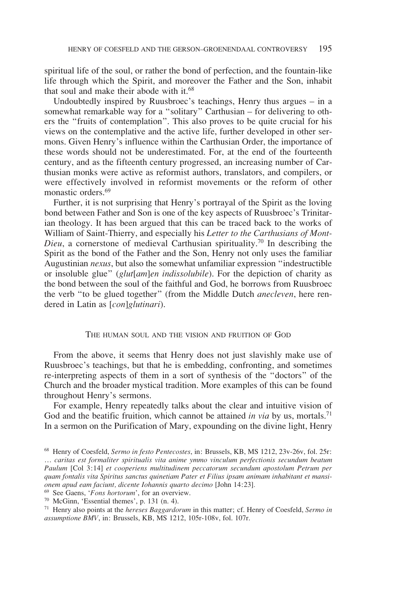spiritual life of the soul, or rather the bond of perfection, and the fountain-like life through which the Spirit, and moreover the Father and the Son, inhabit that soul and make their abode with it.<sup>68</sup>

Undoubtedly inspired by Ruusbroec's teachings, Henry thus argues – in a somewhat remarkable way for a "solitary" Carthusian – for delivering to others the "fruits of contemplation". This also proves to be quite crucial for his views on the contemplative and the active life, further developed in other sermons. Given Henry's influence within the Carthusian Order, the importance of these words should not be underestimated. For, at the end of the fourteenth century, and as the fifteenth century progressed, an increasing number of Carthusian monks were active as reformist authors, translators, and compilers, or were effectively involved in reformist movements or the reform of other monastic orders.<sup>69</sup>

Further, it is not surprising that Henry's portrayal of the Spirit as the loving bond between Father and Son is one of the key aspects of Ruusbroec's Trinitarian theology. It has been argued that this can be traced back to the works of William of Saint-Thierry, and especially his *Letter to the Carthusians of Mont-Dieu*, a cornerstone of medieval Carthusian spirituality.70 In describing the Spirit as the bond of the Father and the Son, Henry not only uses the familiar Augustinian *nexus*, but also the somewhat unfamiliar expression "indestructible or insoluble glue" (*glut*[*am*]*en indissolubile*). For the depiction of charity as the bond between the soul of the faithful and God, he borrows from Ruusbroec the verb "to be glued together" (from the Middle Dutch *anecleven*, here rendered in Latin as [*con*]*glutinari*).

### The human soul and the vision and fruition of God

From the above, it seems that Henry does not just slavishly make use of Ruusbroec's teachings, but that he is embedding, confronting, and sometimes re-interpreting aspects of them in a sort of synthesis of the "doctors" of the Church and the broader mystical tradition. More examples of this can be found throughout Henry's sermons.

For example, Henry repeatedly talks about the clear and intuitive vision of God and the beatific fruition, which cannot be attained *in via* by us, mortals.<sup>71</sup> In a sermon on the Purification of Mary, expounding on the divine light, Henry

<sup>68</sup> Henry of Coesfeld, *Sermo in festo Pentecostes*, in: Brussels, KB, MS 1212, 23v-26v, fol. 25r: … *caritas est formaliter spiritualis vita anime ymmo vinculum perfectionis secundum beatum Paulum* [Col 3:14] *et cooperiens multitudinem peccatorum secundum apostolum Petrum per quam fontalis vita Spiritus sanctus quinetiam Pater et Filius ipsam animam inhabitant et mansionem apud eam faciunt, dicente Iohannis quarto decimo* [John 14:23]*.*

<sup>69</sup> See Gaens, '*Fons hortorum*', for an overview.

<sup>70</sup> McGinn, 'Essential themes', p. 131 (n. 4).

<sup>71</sup> Henry also points at the *hereses Baggardorum* in this matter; cf. Henry of Coesfeld, *Sermo in assumptione BMV*, in: Brussels, KB, MS 1212, 105r-108v, fol. 107r.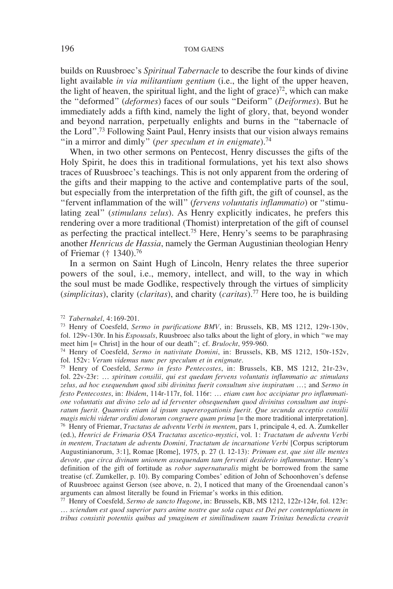builds on Ruusbroec's *Spiritual Tabernacle* to describe the four kinds of divine light available *in via militantium gentium* (i.e., the light of the upper heaven, the light of heaven, the spiritual light, and the light of grace)<sup>72</sup>, which can make the "deformed" (*deformes*) faces of our souls "Deiform" (*Deiformes*). But he immediately adds a fifth kind, namely the light of glory, that, beyond wonder and beyond narration, perpetually enlights and burns in the "tabernacle of the Lord".73 Following Saint Paul, Henry insists that our vision always remains "in a mirror and dimly" (*per speculum et in enigmate*).<sup>74</sup>

When, in two other sermons on Pentecost, Henry discusses the gifts of the Holy Spirit, he does this in traditional formulations, yet his text also shows traces of Ruusbroec's teachings. This is not only apparent from the ordering of the gifts and their mapping to the active and contemplative parts of the soul, but especially from the interpretation of the fifth gift, the gift of counsel, as the "fervent inflammation of the will" (*fervens voluntatis inflammatio*) or "stimulating zeal" (*stimulans zelus*). As Henry explicitly indicates, he prefers this rendering over a more traditional (Thomist) interpretation of the gift of counsel as perfecting the practical intellect.75 Here, Henry's seems to be paraphrasing another *Henricus de Hassia*, namely the German Augustinian theologian Henry of Friemar († 1340).76

In a sermon on Saint Hugh of Lincoln, Henry relates the three superior powers of the soul, i.e., memory, intellect, and will, to the way in which the soul must be made Godlike, respectively through the virtues of simplicity (*simplicitas*), clarity (*claritas*), and charity (*caritas*).77 Here too, he is building

fol. 152v: *Verum videmus nunc per speculum et in enigmate*. 75 Henry of Coesfeld, *Sermo in festo Pentecostes*, in: Brussels, KB, MS 1212, 21r-23v, fol. 22v-23r: … *spiritum consilii, qui est quedam fervens voluntatis inflammatio ac stimulans zelus, ad hoc exequendum quod sibi divinitus fuerit consultum sive inspiratum …*; and *Sermo in festo Pentecostes*, in: *Ibidem*, 114r-117r, fol. 116r: … *etiam cum hoc accipiatur pro inflammatione voluntatis aut divino zelo ad id ferventer obsequendum quod divinitus consultum aut inspiratum fuerit. Quamvis etiam id ipsum supererogationis fuerit. Que secunda acceptio consilii magis michi videtur ordini donorum congruere quam prima* [= the more traditional interpretation]. <sup>76</sup> Henry of Friemar, *Tractatus de adventu Verbi in mentem*, pars 1, principale 4, ed. A. Zumkeller (ed.), *Henrici de Frimaria OSA Tractatus ascetico-mystici*, vol. 1: *Tractatum de adventu Verbi in mentem, Tractatum de adventu Domini, Tractatum de incarnatione Verbi* [Corpus scriptorum Augustinianorum, 3:1], Romae [Rome], 1975, p. 27 (l. 12-13): *Primum est, que sint ille mentes devote, que circa divinam unionem assequendam tam ferventi desiderio inflammantur*. Henry's definition of the gift of fortitude as *robor supernaturalis* might be borrowed from the same treatise (cf. Zumkeller, p. 10). By comparing Combes' edition of John of Schoonhoven's defense of Ruusbroec against Gerson (see above, n. 2), I noticed that many of the Groenendaal canon's arguments can almost literally be found in Friemar's works in this edition.

<sup>77</sup> Henry of Coesfeld*, Sermo de sancto Hugone*, in: Brussels, KB, MS 1212, 122r-124r, fol. 123r: … *sciendum est quod superior pars anime nostre que sola capax est Dei per contemplationem in tribus consistit potentiis quibus ad ymaginem et similitudinem suam Trinitas benedicta creavit* 

<sup>72</sup> *Tabernakel*, 4:169-201.

<sup>73</sup> Henry of Coesfeld, *Sermo in purificatione BMV*, in: Brussels, KB, MS 1212, 129r-130v, fol. 129v-130r. In his *Espousals*, Ruusbroec also talks about the light of glory, in which "we may meet him [= Christ] in the hour of our death"; cf. *Brulocht*, 959-960.

<sup>74</sup> Henry of Coesfeld, *Sermo in nativitate Domini*, in: Brussels, KB, MS 1212, 150r-152v,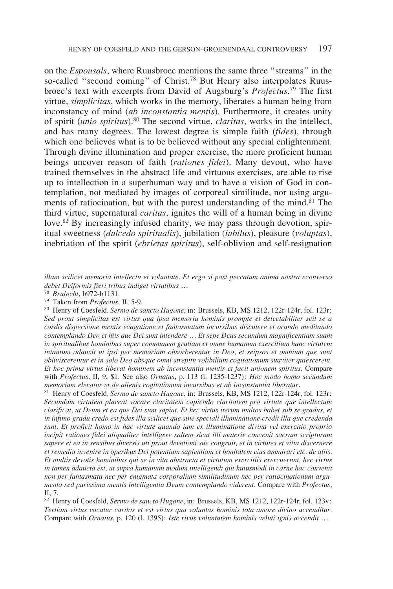on the *Espousals*, where Ruusbroec mentions the same three "streams" in the so-called "second coming" of Christ.<sup>78</sup> But Henry also interpolates Ruusbroec's text with excerpts from David of Augsburg's *Profectus*. 79 The first virtue, *simplicitas*, which works in the memory, liberates a human being from inconstancy of mind (*ab inconstantia mentis*). Furthermore, it creates unity of spirit (*unio spiritus*).80 The second virtue, *claritas*, works in the intellect, and has many degrees. The lowest degree is simple faith (*fides*), through which one believes what is to be believed without any special enlightenment. Through divine illumination and proper exercise, the more proficient human beings uncover reason of faith (*rationes fidei*). Many devout, who have trained themselves in the abstract life and virtuous exercises, are able to rise up to intellection in a superhuman way and to have a vision of God in contemplation, not mediated by images of corporeal similitude, nor using arguments of ratiocination, but with the purest understanding of the mind.<sup>81</sup> The third virtue, supernatural *caritas*, ignites the will of a human being in divine love.<sup>82</sup> By increasingly infused charity, we may pass through devotion, spiritual sweetness (*dulcedo spiritualis*), jubilation (*iubilus*), pleasure (*voluptas*), inebriation of the spirit (*ebrietas spiritus*), self-oblivion and self-resignation

*illam scilicet memoria intellectu et voluntate. Et ergo si post peccatum anima nostra econverso debet Deiformis fieri tribus indiget virtutibus …*

<sup>78</sup> *Brulocht*, b972-b1131.

<sup>79</sup> Taken from *Profectus*, II, 5-9.

<sup>80</sup> Henry of Coesfeld*, Sermo de sancto Hugone*, in: Brussels, KB, MS 1212, 122r-124r, fol. 123r: *Sed prout simplicitas est virtus qua ipsa memoria hominis prompte et delectabiliter scit se a cordis dispersione mentis evagatione et fantasmatum incursibus discutere et orando meditando contemplando Deo et hiis que Dei sunt intendere* … *Et sepe Deus secundum magnificentiam suam in spiritualibus hominibus super communem gratiam et omne humanum exercitium hanc virtutem intantum adauxit ut ipsi per memoriam obsorberentur in Deo, et seipsos et omnium que sunt obliviscerentur et in solo Deo absque omni strepitu volibilium cogitationum suaviter quiescerent. Et hoc prima virtus liberat hominem ab inconstantia mentis et facit unionem spiritus*. Compare with *Profectus,* II, 9, \$1. See also *Ornatus*, p. 113 (l. 1235-1237): *Hoc modo homo secundum memoriam elevatur et de alienis cogitationum incursibus et ab inconstantia liberatur*.

<sup>81</sup> Henry of Coesfeld*, Sermo de sancto Hugone*, in: Brussels, KB, MS 1212, 122r-124r, fol. 123r: *Secundam virtutem placeat vocare claritatem capiendo claritatem pro virtute que intellectum clarificat, ut Deum et ea que Dei sunt sapiat. Et hec virtus iterum multos habet sub se gradus, et in infimo gradu credo est fides illa scilicet que sine speciali illuminatione credit illa que credenda sunt. Et proficit homo in hac virtute quando iam ex illuminatione divina vel exercitio proprio incipit rationes fidei aliqualiter intelligere saltem sicut illi materie convenit sacram scripturam sapere et ea in sensibus diversis uti prout devotioni sue congruit, et in virtutes et vitia discernere et remedia invenire in operibus Dei potentiam sapientiam et bonitatem eius ammirari etc. de aliis. Et multis devotis hominibus qui se in vita abstracta et virtutum exercitiis exercuerunt, hec virtus in tamen adaucta est, ut supra humanum modum intelligendi qui huiusmodi in carne hac convenit non per fantasmata nec per enigmata corporalium similitudinum nec per ratiocinationum argumenta sed purissima mentis intelligentia Deum contemplando viderent.* Compare with *Profectus*, II, 7.

<sup>82</sup> Henry of Coesfeld*, Sermo de sancto Hugone*, in: Brussels, KB, MS 1212, 122r-124r, fol. 123v: *Tertiam virtus vocatur caritas et est virtus qua voluntas hominis tota amore divino accenditur*. Compare with *Ornatus*, p. 120 (l. 1395): *Iste rivus voluntatem hominis veluti ignis accendit* …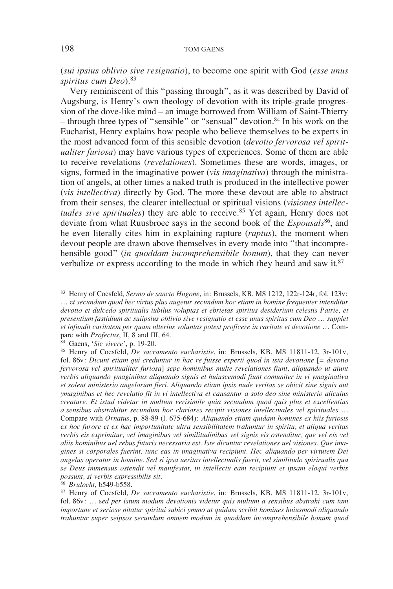(*sui ipsius oblivio sive resignatio*), to become one spirit with God (*esse unus spiritus cum Deo*).83

Very reminiscent of this "passing through", as it was described by David of Augsburg, is Henry's own theology of devotion with its triple-grade progression of the dove-like mind – an image borrowed from William of Saint-Thierry – through three types of "sensible" or "sensual" devotion.84 In his work on the Eucharist, Henry explains how people who believe themselves to be experts in the most advanced form of this sensible devotion (*devotio fervorosa vel spiritualiter furiosa*) may have various types of experiences. Some of them are able to receive revelations (*revelationes*). Sometimes these are words, images, or signs, formed in the imaginative power (*vis imaginativa*) through the ministration of angels, at other times a naked truth is produced in the intellective power (*vis intellectiva*) directly by God. The more these devout are able to abstract from their senses, the clearer intellectual or spiritual visions (*visiones intellectuales sive spirituales*) they are able to receive.85 Yet again, Henry does not deviate from what Ruusbroec says in the second book of the *Espousals*86, and he even literally cites him in explaining rapture (*raptus*), the moment when devout people are drawn above themselves in every mode into "that incomprehensible good" (*in quoddam incomprehensibile bonum*), that they can never verbalize or express according to the mode in which they heard and saw it.<sup>87</sup>

<sup>83</sup> Henry of Coesfeld*, Sermo de sancto Hugone*, in: Brussels, KB, MS 1212, 122r-124r, fol. 123v: … e*t secundum quod hec virtus plus augetur secundum hoc etiam in homine frequenter intenditur devotio et dulcedo spiritualis iubilus voluptas et ebrietas spiritus desiderium celestis Patrie, et presentium fastidium ac suiipsius oblivio sive resignatio et esse unus spiritus cum Deo* … *supplet et infundit caritatem per quam ulterius voluntas potest proficere in caritate et devotione* … Compare with *Profectus*, II, 8 and III, 64.

<sup>84</sup> Gaens, '*Sic vivere*', p. 19-20.

<sup>85</sup> Henry of Coesfeld, *De sacramento eucharistie*, in: Brussels, KB, MS 11811-12, 3r-101v, fol. 86v: *Dicunt etiam qui creduntur in hac re fuisse experti quod in ista devotione* [*= devotio fervorosa vel spiritualiter furiosa*] *sepe hominibus multe revelationes fiunt, aliquando ut aiunt verbis aliquando ymaginibus aliquando signis et huiuscemodi fiunt comuniter in vi ymaginativa et solent ministerio angelorum fieri. Aliquando etiam ipsis nude veritas se obicit sine signis aut ymaginibus et hec revelatio fit in vi intellectiva et causantur a solo deo sine ministerio alicuius creature. Et istud videtur in multum verisimile quia secundum quod quis plus et excellentius a sensibus abstrahitur secundum hoc clariores recipit visiones intellectuales vel spirituales* … Compare with *Ornatus*, p. 88-89 (l. 675-684): *Aliquando etiam quidam homines ex hiis furiosis ex hoc furore et ex hac importunitate ultra sensibilitatem trahuntur in spiritu, et aliqua veritas verbis eis exprimitur, vel imaginibus vel similitudinibus vel signis eis ostenditur, que vel eis vel aliis hominibus uel rebus futuris necessaria est. Iste dicuntur revelationes uel visiones. Que imagines si corporales fuerint, tunc eas in imaginativa recipiunt. Hec aliquando per virtutem Dei angelus operatur in homine. Sed si ipsa ueritas intellectualis fuerit, vel similitudo spirirualis qua se Deus immensus ostendit vel manifestat, in intellectu eam recipiunt et ipsam eloqui verbis possunt, si verbis expressibilis sit*.

<sup>86</sup> *Brulocht*, b549-b558.

<sup>87</sup> Henry of Coesfeld, *De sacramento eucharistie*, in: Brussels, KB, MS 11811-12, 3r-101v, fol. 86v: … s*ed per istum modum devotionis videtur quis multum a sensibus abstrahi cum tam importune et seriose nitatur spiritui subici ymmo ut quidam scribit homines huiusmodi aliquando trahuntur super seipsos secundum omnem modum in quoddam incomprehensibile bonum quod*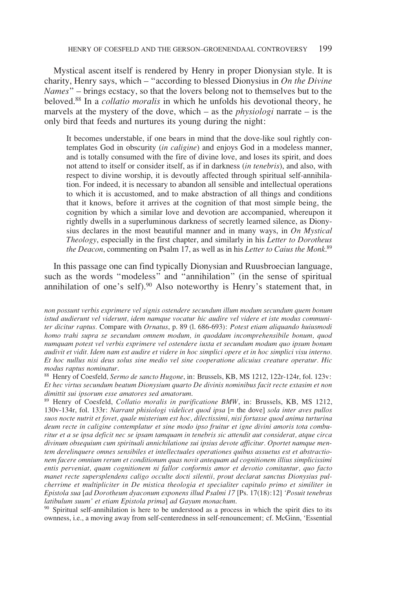Mystical ascent itself is rendered by Henry in proper Dionysian style. It is charity, Henry says, which – "according to blessed Dionysius in *On the Divine Names*" – brings ecstacy, so that the lovers belong not to themselves but to the beloved.88 In a *collatio moralis* in which he unfolds his devotional theory, he marvels at the mystery of the dove, which – as the *physiologi* narrate – is the only bird that feeds and nurtures its young during the night:

It becomes understable, if one bears in mind that the dove-like soul rightly contemplates God in obscurity (*in caligine*) and enjoys God in a modeless manner, and is totally consumed with the fire of divine love, and loses its spirit, and does not attend to itself or consider itself, as if in darkness (*in tenebris*), and also, with respect to divine worship, it is devoutly affected through spiritual self-annihilation. For indeed, it is necessary to abandon all sensible and intellectual operations to which it is accustomed, and to make abstraction of all things and conditions that it knows, before it arrives at the cognition of that most simple being, the cognition by which a similar love and devotion are accompanied, whereupon it rightly dwells in a superluminous darkness of secretly learned silence, as Dionysius declares in the most beautiful manner and in many ways, in *On Mystical Theology*, especially in the first chapter, and similarly in his *Letter to Dorotheus the Deacon*, commenting on Psalm 17, as well as in his *Letter to Caius the Monk*. 89

In this passage one can find typically Dionysian and Ruusbroecian language, such as the words "modeless" and "annihilation" (in the sense of spiritual annihilation of one's self). $90$  Also noteworthy is Henry's statement that, in

<sup>90</sup> Spiritual self-annihilation is here to be understood as a process in which the spirit dies to its ownness, i.e., a moving away from self-centeredness in self-renouncement; cf. McGinn, 'Essential

*non possunt verbis exprimere vel signis ostendere secundum illum modum secundum quem bonum istud audierunt vel viderunt, idem namque vocatur hic audire vel videre et iste modus communiter dicitur raptus.* Compare with *Ornatus*, p. 89 (l. 686-693): *Potest etiam aliquando huiusmodi homo trahi supra se secundum omnem modum, in quoddam incomprehensibile bonum, quod numquam potest vel verbis exprimere vel ostendere iuxta et secundum modum quo ipsum bonum audivit et vidit. Idem nam est audire et videre in hoc simplici opere et in hoc simplici visu interno. Et hoc nullus nisi deus solus sine medio vel sine cooperatione alicuius creature operatur. Hic modus raptus nominatur*.

<sup>88</sup> Henry of Coesfeld*, Sermo de sancto Hugone*, in: Brussels, KB, MS 1212, 122r-124r, fol. 123v: *Et hec virtus secundum beatum Dionysium quarto De divinis nominibus facit recte extasim et non dimittit sui ipsorum esse amatores sed amatorum*.

<sup>89</sup> Henry of Coesfeld, *Collatio moralis in purificatione BMW*, in: Brussels, KB, MS 1212, 130v-134r, fol. 133r: *Narrant phisiologi videlicet quod ipsa* [= the dove] *sola inter aves pullos suos nocte nutrit et fovet, quale misterium est hoc, dilectissimi, nisi fortasse quod anima turturina deum recte in caligine contemplatur et sine modo ipso fruitur et igne divini amoris tota comburitur et a se ipsa deficit nec se ipsam tamquam in tenebris sic attendit aut considerat, atque circa divinum obsequium cum spirituali annichilatione sui ipsius devote afficitur. Oportet namque mentem derelinquere omnes sensibiles et intellectuales operationes quibus assuetus est et abstractionem facere omnium rerum et conditionum quas novit antequam ad cognitionem illius simplicissimi entis perveniat, quam cognitionem ni fallor conformis amor et devotio comitantur, quo facto manet recte supersplendens caligo occulte docti silentii, prout declarat sanctus Dionysius pulcherrime et multipliciter in De mistica theologia et specialiter capitulo primo et similiter in Epistola sua* [*ad Dorotheum dyaconum exponens illud Psalmi 17* [Ps. 17(18):12] *'Posuit tenebras latibulum suum' et etiam Epistola prima*] *ad Gayum monachum*.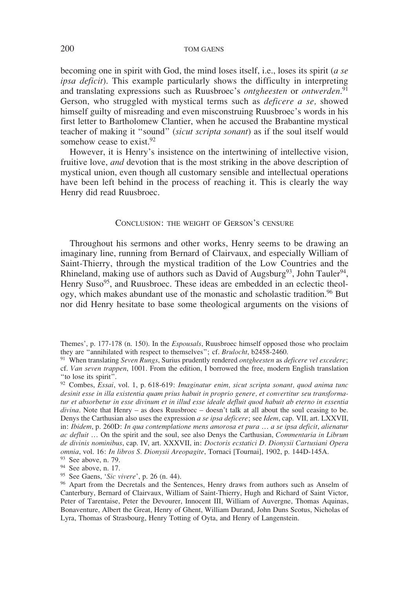becoming one in spirit with God, the mind loses itself, i.e., loses its spirit (*a se ipsa deficit*). This example particularly shows the difficulty in interpreting and translating expressions such as Ruusbroec's *ontgheesten* or *ontwerden*. 91 Gerson, who struggled with mystical terms such as *deficere a se,* showed himself guilty of misreading and even misconstruing Ruusbroec's words in his first letter to Bartholomew Clantier, when he accused the Brabantine mystical teacher of making it "sound" (*sicut scripta sonant*) as if the soul itself would somehow cease to exist.<sup>92</sup>

However, it is Henry's insistence on the intertwining of intellective vision, fruitive love, *and* devotion that is the most striking in the above description of mystical union, even though all customary sensible and intellectual operations have been left behind in the process of reaching it. This is clearly the way Henry did read Ruusbroec.

### Conclusion: the weight of Gerson's censure

Throughout his sermons and other works, Henry seems to be drawing an imaginary line, running from Bernard of Clairvaux, and especially William of Saint-Thierry, through the mystical tradition of the Low Countries and the Rhineland, making use of authors such as David of Augsburg<sup>93</sup>, John Tauler<sup>94</sup>, Henry Suso<sup>95</sup>, and Ruusbroec. These ideas are embedded in an eclectic theology, which makes abundant use of the monastic and scholastic tradition.<sup>96</sup> But nor did Henry hesitate to base some theological arguments on the visions of

<sup>94</sup> See above, n. 17.

<sup>95</sup> See Gaens, '*Sic vivere*', p. 26 (n. 44).

Themes', p. 177-178 (n. 150). In the *Espousals*, Ruusbroec himself opposed those who proclaim they are "annihilated with respect to themselves"; cf. *Brulocht*, b2458-2460.

<sup>91</sup> When translating *Seven Rungs*, Surius prudently rendered *ontgheesten* as *deficere vel excedere*; cf. *Van seven trappen*, 1001. From the edition, I borrowed the free, modern English translation "to lose its spirit".

<sup>92</sup> Combes, *Essai*, vol. 1, p. 618-619: *Imaginatur enim, sicut scripta sonant, quod anima tunc desinit esse in illa existentia quam prius habuit in proprio genere, et convertitur seu transformatur et absorbetur in esse divinum et in illud esse ideale defluit quod habuit ab eterno in essentia divina*. Note that Henry – as does Ruusbroec – doesn't talk at all about the soul ceasing to be. Denys the Carthusian also uses the expression *a se ipsa deficere*; see *Idem*, cap. VII, art. LXXVII, in: *Ibidem*, p. 260D: *In qua contemplatione mens amorosa et pura* … *a se ipsa deficit*, *alienatur ac defluit* … On the spirit and the soul, see also Denys the Carthusian, *Commentaria in Librum de divinis nominibus*, cap. IV, art. XXXVII, in: *Doctoris ecstatici D. Dionysii Cartusiani Opera omnia*, vol. 16: *In libros S. Dionysii Areopagite*, Tornaci [Tournai], 1902, p. 144D-145A. <sup>93</sup> See above, n. 79.

<sup>96</sup> Apart from the Decretals and the Sentences, Henry draws from authors such as Anselm of Canterbury, Bernard of Clairvaux, William of Saint-Thierry, Hugh and Richard of Saint Victor, Peter of Tarentaise, Peter the Devourer, Innocent III, William of Auvergne, Thomas Aquinas, Bonaventure, Albert the Great, Henry of Ghent, William Durand, John Duns Scotus, Nicholas of Lyra, Thomas of Strasbourg, Henry Totting of Oyta, and Henry of Langenstein.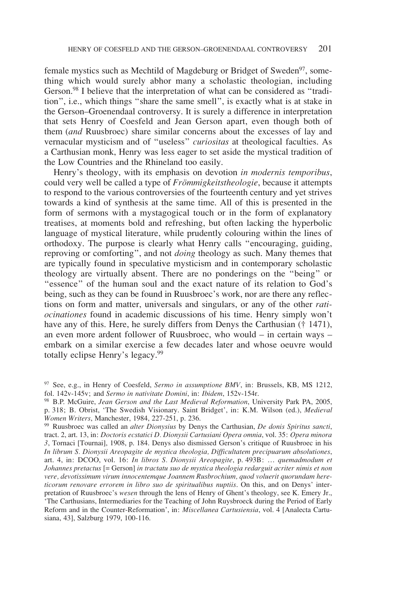female mystics such as Mechtild of Magdeburg or Bridget of Sweden<sup>97</sup>, something which would surely abhor many a scholastic theologian, including Gerson.<sup>98</sup> I believe that the interpretation of what can be considered as "tradition", i.e., which things "share the same smell", is exactly what is at stake in the Gerson–Groenendaal controversy. It is surely a difference in interpretation that sets Henry of Coesfeld and Jean Gerson apart, even though both of them (*and* Ruusbroec) share similar concerns about the excesses of lay and vernacular mysticism and of "useless" *curiositas* at theological faculties. As a Carthusian monk, Henry was less eager to set aside the mystical tradition of the Low Countries and the Rhineland too easily.

Henry's theology, with its emphasis on devotion *in modernis temporibus*, could very well be called a type of *Frömmigkeitstheologie*, because it attempts to respond to the various controversies of the fourteenth century and yet strives towards a kind of synthesis at the same time. All of this is presented in the form of sermons with a mystagogical touch or in the form of explanatory treatises, at moments bold and refreshing, but often lacking the hyperbolic language of mystical literature, while prudently colouring within the lines of orthodoxy. The purpose is clearly what Henry calls "encouraging, guiding, reproving or comforting", and not *doing* theology as such. Many themes that are typically found in speculative mysticism and in contemporary scholastic theology are virtually absent. There are no ponderings on the "being" or "essence" of the human soul and the exact nature of its relation to God's being, such as they can be found in Ruusbroec's work, nor are there any reflections on form and matter, universals and singulars, or any of the other *ratiocinationes* found in academic discussions of his time. Henry simply won't have any of this. Here, he surely differs from Denys the Carthusian († 1471), an even more ardent follower of Ruusbroec, who would – in certain ways – embark on a similar exercise a few decades later and whose oeuvre would totally eclipse Henry's legacy.99

<sup>97</sup> See, e.g., in Henry of Coesfeld, *Sermo in assumptione BMV*, in: Brussels, KB, MS 1212, fol. 142v-145v; and *Sermo in nativitate Domini*, in: *Ibidem*, 152v-154r.

<sup>98</sup> B.P. McGuire, *Jean Gerson and the Last Medieval Reformation*, University Park PA, 2005, p. 318; B. Obrist, 'The Swedish Visionary. Saint Bridget', in: K.M. Wilson (ed.), *Medieval* 

*Women Writers*, Manchester, 1984, 227-251, p. 236. 99 Ruusbroec was called an *alter Dionysius* by Denys the Carthusian, *De donis Spiritus sancti*, tract. 2, art. 13, in: *Doctoris ecstatici D. Dionysii Cartusiani Opera omnia*, vol. 35: *Opera minora 3*, Tornaci [Tournai], 1908, p. 184. Denys also dismissed Gerson's critique of Ruusbroec in his *In librum S. Dionysii Areopagite de mystica theologia, Difficultatem precipuarum absolutiones*, art. 4, in: DCOO, vol. 16: *In libros S. Dionysii Areopagite*, p. 493B: … *quemadmodum et Johannes pretactus* [= Gerson] *in tractatu suo de mystica theologia redarguit acriter nimis et non vere, devotissimum virum innocentemque Joannem Rusbrochium, quod voluerit quorundam hereticorum renovare errorem in libro suo de spiritualibus nuptiis*. On this, and on Denys' interpretation of Ruusbroec's *wesen* through the lens of Henry of Ghent's theology, see K. Emery Jr., 'The Carthusians, Intermediaries for the Teaching of John Ruysbroeck during the Period of Early Reform and in the Counter-Reformation', in: *Miscellanea Cartusiensia*, vol. 4 [Analecta Cartusiana, 43], Salzburg 1979, 100-116.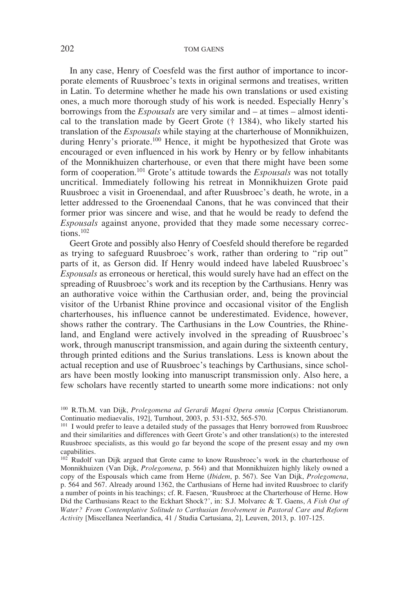In any case, Henry of Coesfeld was the first author of importance to incorporate elements of Ruusbroec's texts in original sermons and treatises, written in Latin. To determine whether he made his own translations or used existing ones, a much more thorough study of his work is needed. Especially Henry's borrowings from the *Espousals* are very similar and – at times – almost identical to the translation made by Geert Grote († 1384), who likely started his translation of the *Espousals* while staying at the charterhouse of Monnikhuizen, during Henry's priorate.<sup>100</sup> Hence, it might be hypothesized that Grote was encouraged or even influenced in his work by Henry or by fellow inhabitants of the Monnikhuizen charterhouse, or even that there might have been some form of cooperation.101 Grote's attitude towards the *Espousals* was not totally uncritical. Immediately following his retreat in Monnikhuizen Grote paid Ruusbroec a visit in Groenendaal, and after Ruusbroec's death, he wrote, in a letter addressed to the Groenendaal Canons, that he was convinced that their former prior was sincere and wise, and that he would be ready to defend the *Espousals* against anyone, provided that they made some necessary corrections.102

Geert Grote and possibly also Henry of Coesfeld should therefore be regarded as trying to safeguard Ruusbroec's work, rather than ordering to "rip out" parts of it, as Gerson did. If Henry would indeed have labeled Ruusbroec's *Espousals* as erroneous or heretical, this would surely have had an effect on the spreading of Ruusbroec's work and its reception by the Carthusians. Henry was an authorative voice within the Carthusian order, and, being the provincial visitor of the Urbanist Rhine province and occasional visitor of the English charterhouses, his influence cannot be underestimated. Evidence, however, shows rather the contrary. The Carthusians in the Low Countries, the Rhineland, and England were actively involved in the spreading of Ruusbroec's work, through manuscript transmission, and again during the sixteenth century, through printed editions and the Surius translations. Less is known about the actual reception and use of Ruusbroec's teachings by Carthusians, since scholars have been mostly looking into manuscript transmission only. Also here, a few scholars have recently started to unearth some more indications: not only

<sup>100</sup> R.Th.M. van Dijk, *Prolegomena ad Gerardi Magni Opera omnia* [Corpus Christianorum. Continuatio mediaevalis, 192], Turnhout, 2003, p. 531-532, 565-570.

<sup>&</sup>lt;sup>101</sup> I would prefer to leave a detailed study of the passages that Henry borrowed from Ruusbroec and their similarities and differences with Geert Grote's and other translation(s) to the interested Ruusbroec specialists, as this would go far beyond the scope of the present essay and my own capabilities.

<sup>&</sup>lt;sup>102</sup> Rudolf van Dijk argued that Grote came to know Ruusbroec's work in the charterhouse of Monnikhuizen (Van Dijk, *Prolegomena*, p. 564) and that Monnikhuizen highly likely owned a copy of the Espousals which came from Herne (*Ibidem*, p. 567). See Van Dijk, *Prolegomena*, p. 564 and 567. Already around 1362, the Carthusians of Herne had invited Ruusbroec to clarify a number of points in his teachings; cf. R. Faesen, 'Ruusbroec at the Charterhouse of Herne. How Did the Carthusians React to the Eckhart Shock?', in: S.J. Molvarec & T. Gaens, *A Fish Out of Water? From Contemplative Solitude to Carthusian Involvement in Pastoral Care and Reform Activity* [Miscellanea Neerlandica, 41 / Studia Cartusiana, 2], Leuven, 2013, p. 107-125.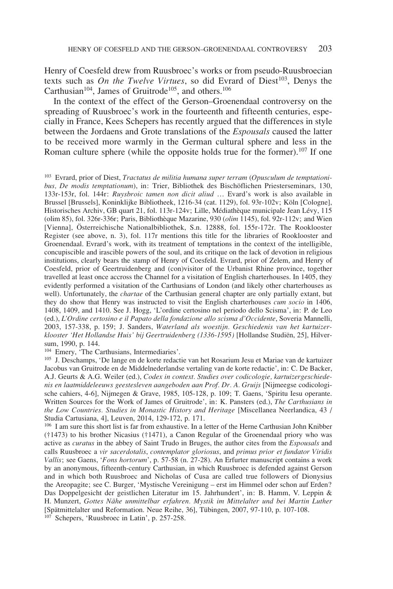Henry of Coesfeld drew from Ruusbroec's works or from pseudo-Ruusbroecian texts such as *On the Twelve Virtues*, so did Evrard of Diest<sup>103</sup>, Denys the Carthusian<sup>104</sup>, James of Gruitrode<sup>105</sup>, and others.<sup>106</sup>

In the context of the effect of the Gerson–Groenendaal controversy on the spreading of Ruusbroec's work in the fourteenth and fifteenth centuries, especially in France, Kees Schepers has recently argued that the differences in style between the Jordaens and Grote translations of the *Espousals* caused the latter to be received more warmly in the German cultural sphere and less in the Roman culture sphere (while the opposite holds true for the former).<sup>107</sup> If one

<sup>103</sup> Evrard, prior of Diest, *Tractatus de militia humana super terram* (*Opusculum de temptationibus, De modis temptationum*), in: Trier, Bibliothek des Bischöflichen Priesterseminars, 130, 133r-153r, fol. 144r: *Ruysbroic tamen non dicit aliud* … Evard's work is also available in Brussel [Brussels], Koninklijke Bibliotheek, 1216-34 (cat. 1129), fol. 93r-102v; Köln [Cologne], Historisches Archiv, GB quart 21, fol. 113r-124v; Lille, Médiathèque municipale Jean Lévy, 115 (olim 85), fol. 326r-336r; Paris, Bibliothèque Mazarine, 930 (*olim* 1145), fol. 92r-112v; and Wien [Vienna], Österreichische Nationalbibliothek, S.n. 12888, fol. 155r-172r. The Rooklooster Register (see above, n. 3), fol. 117r mentions this title for the libraries of Rooklooster and Groenendaal. Evrard's work, with its treatment of temptations in the context of the intelligible, concupiscible and irascible powers of the soul, and its critique on the lack of devotion in religious institutions, clearly bears the stamp of Henry of Coesfeld. Evrard, prior of Zelem, and Henry of Coesfeld, prior of Geertruidenberg and (con)visitor of the Urbanist Rhine province, together travelled at least once accross the Channel for a visitation of English charterhouses. In 1405, they evidently performed a visitation of the Carthusians of London (and likely other charterhouses as well). Unfortunately, the *chartae* of the Carthusian general chapter are only partially extant, but they do show that Henry was instructed to visit the English charterhouses *cum socio* in 1406, 1408, 1409, and 1410. See J. Hogg, 'L'ordine certosino nel periodo dello Scisma', in: P. de Leo (ed.), *L'Ordine certosino e il Papato della fondazione allo scisma d'Occidente*, Soveria Mannelli, 2003, 157-338, p. 159; J. Sanders, *Waterland als woestijn. Geschiedenis van het kartuizerklooster 'Het Hollandse Huis' bij Geertruidenberg (1336-1595)* [Hollandse Studiën, 25], Hilversum, 1990, p. 144.<br><sup>104</sup> Emery, 'The Carthusians, Intermediaries'.

<sup>105</sup> J. Deschamps, 'De lange en de korte redactie van het Rosarium Jesu et Mariae van de kartuizer Jacobus van Gruitrode en de Middelnederlandse vertaling van de korte redactie', in: C. De Backer, A.J. Geurts & A.G. Weiler (ed.), *Codex in context. Studies over codicologie, kartuizergeschiedenis en laatmiddeleeuws geestesleven aangeboden aan Prof. Dr. A. Gruijs* [Nijmeegse codicologische cahiers, 4-6], Nijmegen & Grave, 1985, 105-128, p. 109; T. Gaens, 'Spiritu Iesu operante. Written Sources for the Work of James of Gruitrode', in: K. Pansters (ed.), *The Carthusians in the Low Countries. Studies in Monastic History and Heritage* [Miscellanea Neerlandica, 43 / Studia Cartusiana, 4], Leuven, 2014, 129-172, p. 171.

<sup>106</sup> I am sure this short list is far from exhaustive. In a letter of the Herne Carthusian John Knibber (†1473) to his brother Nicasius (†1471), a Canon Regular of the Groenendaal priory who was active as *curatus* in the abbey of Saint Trudo in Bruges, the author cites from the *Espousals* and calls Ruusbroec a *vir sacerdotalis*, *contemplator gloriosus*, and *primus prior et fundator Viridis Vallis*; see Gaens, '*Fons hortorum*', p. 57-58 (n. 27-28). An Erfurter manuscript contains a work by an anonymous, fifteenth-century Carthusian, in which Ruusbroec is defended against Gerson and in which both Ruusbroec and Nicholas of Cusa are called true followers of Dionysius the Areopagite; see C. Burger, 'Mystische Vereinigung – erst im Himmel oder schon auf Erden? Das Doppelgesicht der geistlichen Literatur im 15. Jahrhundert', in: B. Hamm, V. Leppin & H. Munzert, *Gottes Nähe unmittelbar erfahren. Mystik im Mittelalter und bei Martin Luther* [Spätmittelalter und Reformation. Neue Reihe, 36], Tübingen, 2007, 97-110, p. 107-108.

 $107$  Schepers, 'Ruusbroec in Latin', p. 257-258.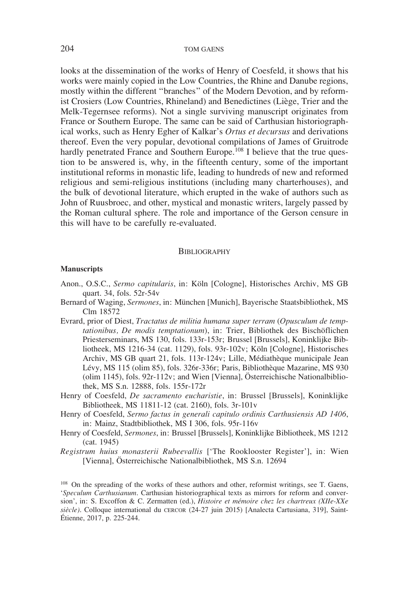looks at the dissemination of the works of Henry of Coesfeld, it shows that his works were mainly copied in the Low Countries, the Rhine and Danube regions, mostly within the different "branches" of the Modern Devotion, and by reformist Crosiers (Low Countries, Rhineland) and Benedictines (Liège, Trier and the Melk-Tegernsee reforms). Not a single surviving manuscript originates from France or Southern Europe. The same can be said of Carthusian historiographical works, such as Henry Egher of Kalkar's *Ortus et decursus* and derivations thereof. Even the very popular, devotional compilations of James of Gruitrode hardly penetrated France and Southern Europe.<sup>108</sup> I believe that the true question to be answered is, why, in the fifteenth century, some of the important institutional reforms in monastic life, leading to hundreds of new and reformed religious and semi-religious institutions (including many charterhouses), and the bulk of devotional literature, which erupted in the wake of authors such as John of Ruusbroec, and other, mystical and monastic writers, largely passed by the Roman cultural sphere. The role and importance of the Gerson censure in this will have to be carefully re-evaluated.

### **BIBLIOGRAPHY**

#### **Manuscripts**

- Anon., O.S.C., *Sermo capitularis*, in: Köln [Cologne], Historisches Archiv, MS GB quart. 34, fols. 52r-54v
- Bernard of Waging, *Sermones*, in: München [Munich], Bayerische Staatsbibliothek, MS Clm 18572
- Evrard, prior of Diest, *Tractatus de militia humana super terram* (*Opusculum de temptationibus, De modis temptationum*), in: Trier, Bibliothek des Bischöflichen Priesterseminars, MS 130, fols. 133r-153r; Brussel [Brussels], Koninklijke Bibliotheek, MS 1216-34 (cat. 1129), fols. 93r-102v; Köln [Cologne], Historisches Archiv, MS GB quart 21, fols. 113r-124v; Lille, Médiathèque municipale Jean Lévy, MS 115 (olim 85), fols. 326r-336r; Paris, Bibliothèque Mazarine, MS 930 (olim 1145), fols. 92r-112v; and Wien [Vienna], Österreichische Nationalbibliothek, MS S.n. 12888, fols. 155r-172r
- Henry of Coesfeld, *De sacramento eucharistie*, in: Brussel [Brussels], Koninklijke Bibliotheek, MS 11811-12 (cat. 2160), fols. 3r-101v
- Henry of Coesfeld, *Sermo factus in generali capitulo ordinis Carthusiensis AD 1406*, in: Mainz, Stadtbibliothek, MS I 306, fols. 95r-116v
- Henry of Coesfeld, *Sermones*, in: Brussel [Brussels], Koninklijke Bibliotheek, MS 1212 (cat. 1945)
- *Registrum huius monasterii Rubeevallis* ['The Rooklooster Register'], in: Wien [Vienna], Österreichische Nationalbibliothek, MS S.n. 12694

<sup>108</sup> On the spreading of the works of these authors and other, reformist writings, see T. Gaens, '*Speculum Carthusianum*. Carthusian historiographical texts as mirrors for reform and conversion', in: S. Excoffon & C. Zermatten (ed.), *Histoire et mémoire chez les chartreux (XIIe-XXe siècle)*. Colloque international du cercor (24-27 juin 2015) [Analecta Cartusiana, 319], Saint-Étienne, 2017, p. 225-244.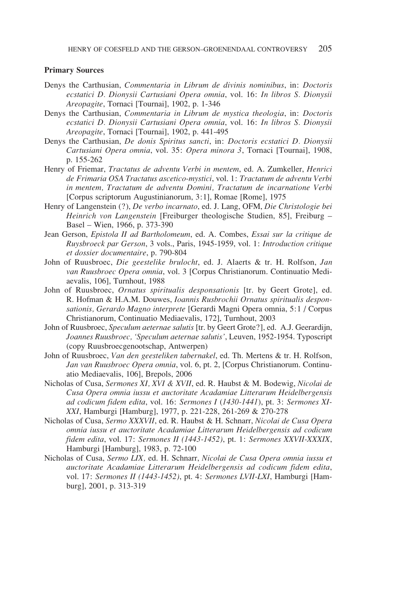#### **Primary Sources**

- Denys the Carthusian, *Commentaria in Librum de divinis nominibus*, in: *Doctoris ecstatici D. Dionysii Cartusiani Opera omnia*, vol. 16: *In libros S. Dionysii Areopagite*, Tornaci [Tournai], 1902, p. 1-346
- Denys the Carthusian, *Commentaria in Librum de mystica theologia*, in: *Doctoris ecstatici D. Dionysii Cartusiani Opera omnia*, vol. 16: *In libros S. Dionysii Areopagite*, Tornaci [Tournai], 1902, p. 441-495
- Denys the Carthusian, *De donis Spiritus sancti*, in: *Doctoris ecstatici D. Dionysii Cartusiani Opera omnia*, vol. 35: *Opera minora 3*, Tornaci [Tournai], 1908, p. 155-262
- Henry of Friemar, *Tractatus de adventu Verbi in mentem*, ed. A. Zumkeller, *Henrici de Frimaria OSA Tractatus ascetico-mystici*, vol. 1: *Tractatum de adventu Verbi in mentem, Tractatum de adventu Domini, Tractatum de incarnatione Verbi* [Corpus scriptorum Augustinianorum, 3:1], Romae [Rome], 1975
- Henry of Langenstein (?), *De verbo incarnato*, ed. J. Lang, OFM, *Die Christologie bei Heinrich von Langenstein* [Freiburger theologische Studien, 85], Freiburg – Basel – Wien, 1966, p. 373-390
- Jean Gerson, *Epistola II ad Bartholomeum*, ed. A. Combes, *Essai sur la critique de Ruysbroeck par Gerson*, 3 vols., Paris, 1945-1959, vol. 1: *Introduction critique et dossier documentaire*, p. 790-804
- John of Ruusbroec, *Die geestelike brulocht*, ed. J. Alaerts & tr. H. Rolfson, *Jan van Ruusbroec Opera omnia*, vol. 3 [Corpus Christianorum. Continuatio Mediaevalis, 106], Turnhout, 1988
- John of Ruusbroec, *Ornatus spiritualis desponsationis* [tr. by Geert Grote], ed. R. Hofman & H.A.M. Douwes, *Ioannis Rusbrochii Ornatus spiritualis desponsationis, Gerardo Magno interprete* [Gerardi Magni Opera omnia, 5:1 / Corpus Christianorum, Continuatio Mediaevalis, 172], Turnhout, 2003
- John of Ruusbroec, *Speculum aeternae salutis* [tr. by Geert Grote?], ed. A.J. Geerardijn, *Joannes Ruusbroec, 'Speculum aeternae salutis'*, Leuven, 1952-1954. Typoscript (copy Ruusbroecgenootschap, Antwerpen)
- John of Ruusbroec, *Van den geesteliken tabernakel*, ed. Th. Mertens & tr. H. Rolfson, *Jan van Ruusbroec Opera omnia*, vol. 6, pt. 2, [Corpus Christianorum. Continuatio Mediaevalis, 106], Brepols, 2006
- Nicholas of Cusa, *Sermones XI, XVI & XVII*, ed. R. Haubst & M. Bodewig, *Nicolai de Cusa Opera omnia iussu et auctoritate Acadamiae Litterarum Heidelbergensis ad codicum fidem edita*, vol. 16: *Sermones I* (*1430-1441*), pt. 3: *Sermones XI-XXI*, Hamburgi [Hamburg], 1977, p. 221-228, 261-269 & 270-278
- Nicholas of Cusa, *Sermo XXXVII*, ed. R. Haubst & H. Schnarr, *Nicolai de Cusa Opera omnia iussu et auctoritate Acadamiae Litterarum Heidelbergensis ad codicum fidem edita*, vol. 17: *Sermones II (1443-1452)*, pt. 1: *Sermones XXVII-XXXIX*, Hamburgi [Hamburg], 1983, p. 72-100
- Nicholas of Cusa, *Sermo LIX,* ed. H. Schnarr, *Nicolai de Cusa Opera omnia iussu et auctoritate Acadamiae Litterarum Heidelbergensis ad codicum fidem edita*, vol. 17: *Sermones II (1443-1452)*, pt. 4: *Sermones LVII-LXI*, Hamburgi [Hamburg], 2001, p. 313-319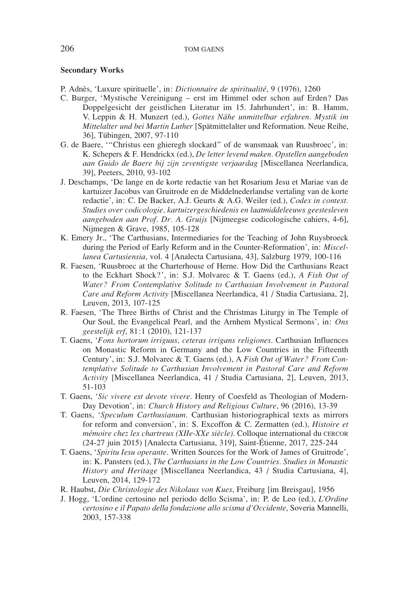#### **Secondary Works**

- P. Adnès, 'Luxure spirituelle', in: *Dictionnaire de spiritualité*, 9 (1976), 1260
- C. Burger, 'Mystische Vereinigung erst im Himmel oder schon auf Erden? Das Doppelgesicht der geistlichen Literatur im 15. Jahrhundert', in: B. Hamm, V. Leppin & H. Munzert (ed.), *Gottes Nähe unmittelbar erfahren. Mystik im Mittelalter und bei Martin Luther* [Spätmittelalter und Reformation. Neue Reihe, 36], Tübingen, 2007, 97-110
- G. de Baere, '"Christus een ghieregh slockard" of de wansmaak van Ruusbroec', in: K. Schepers & F. Hendrickx (ed.), *De letter levend maken. Opstellen aangeboden aan Guido de Baere bij zijn zeventigste verjaardag* [Miscellanea Neerlandica, 39], Peeters, 2010, 93-102
- J. Deschamps, 'De lange en de korte redactie van het Rosarium Jesu et Mariae van de kartuizer Jacobus van Gruitrode en de Middelnederlandse vertaling van de korte redactie', in: C. De Backer, A.J. Geurts & A.G. Weiler (ed.), *Codex in context. Studies over codicologie, kartuizergeschiedenis en laatmiddeleeuws geestesleven aangeboden aan Prof. Dr. A. Gruijs* [Nijmeegse codicologische cahiers, 4-6], Nijmegen & Grave, 1985, 105-128
- K. Emery Jr., 'The Carthusians, Intermediaries for the Teaching of John Ruysbroeck during the Period of Early Reform and in the Counter-Reformation', in: *Miscellanea Cartusiensia*, vol. 4 [Analecta Cartusiana, 43], Salzburg 1979, 100-116
- R. Faesen, 'Ruusbroec at the Charterhouse of Herne. How Did the Carthusians React to the Eckhart Shock?', in: S.J. Molvarec & T. Gaens (ed.), *A Fish Out of Water? From Contemplative Solitude to Carthusian Involvement in Pastoral Care and Reform Activity* [Miscellanea Neerlandica, 41 / Studia Cartusiana, 2], Leuven, 2013, 107-125
- R. Faesen, 'The Three Births of Christ and the Christmas Liturgy in The Temple of Our Soul, the Evangelical Pearl, and the Arnhem Mystical Sermons', in: *Ons geestelijk erf*, 81:1 (2010), 121-137
- T. Gaens, '*Fons hortorum irriguus, ceteras irrigans religiones*. Carthusian Influences on Monastic Reform in Germany and the Low Countries in the Fifteenth Century', in: S.J. Molvarec & T. Gaens (ed.), A *Fish Out of Water? From Contemplative Solitude to Carthusian Involvement in Pastoral Care and Reform Activity* [Miscellanea Neerlandica, 41 / Studia Cartusiana, 2], Leuven, 2013, 51-103
- T. Gaens, '*Sic vivere est devote vivere*. Henry of Coesfeld as Theologian of Modern-Day Devotion', in: *Church History and Religious Culture*, 96 (2016), 13-39
- T. Gaens, '*Speculum Carthusianum*. Carthusian historiographical texts as mirrors for reform and conversion', in: S. Excoffon & C. Zermatten (ed.), *Histoire et mémoire chez les chartreux (XIIe-XXe siècle)*. Colloque international du cercor (24-27 juin 2015) [Analecta Cartusiana, 319], Saint-Étienne, 2017, 225-244
- T. Gaens, '*Spiritu Iesu operante*. Written Sources for the Work of James of Gruitrode', in: K. Pansters (ed.), *The Carthusians in the Low Countries. Studies in Monastic History and Heritage* [Miscellanea Neerlandica, 43 / Studia Cartusiana, 4], Leuven, 2014, 129-172
- R. Haubst, *Die Christologie des Nikolaus von Kues*, Freiburg [im Breisgau], 1956
- J. Hogg, 'L'ordine certosino nel periodo dello Scisma', in: P. de Leo (ed.), *L'Ordine certosino e il Papato della fondazione allo scisma d'Occidente*, Soveria Mannelli, 2003, 157-338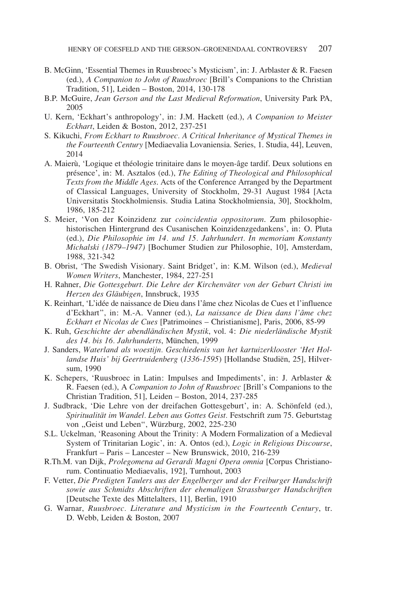- B. McGinn, 'Essential Themes in Ruusbroec's Mysticism', in: J. Arblaster & R. Faesen (ed.), *A Companion to John of Ruusbroec* [Brill's Companions to the Christian Tradition, 51], Leiden – Boston, 2014, 130-178
- B.P. McGuire, *Jean Gerson and the Last Medieval Reformation*, University Park PA, 2005
- U. Kern, 'Eckhart's anthropology', in: J.M. Hackett (ed.), *A Companion to Meister Eckhart*, Leiden & Boston, 2012, 237-251
- S. Kikuchi, *From Eckhart to Ruusbroec. A Critical Inheritance of Mystical Themes in the Fourteenth Century* [Mediaevalia Lovaniensia. Series, 1. Studia, 44], Leuven, 2014
- A. Maierù, 'Logique et théologie trinitaire dans le moyen-âge tardif. Deux solutions en présence', in: M. Asztalos (ed.), *The Editing of Theological and Philosophical Texts from the Middle Ages*. Acts of the Conference Arranged by the Department of Classical Languages, University of Stockholm, 29-31 August 1984 [Acta Universitatis Stockholmiensis. Studia Latina Stockholmiensia, 30], Stockholm, 1986, 185-212
- S. Meier, 'Von der Koinzidenz zur *coincidentia oppositorum*. Zum philosophiehistorischen Hintergrund des Cusanischen Koinzidenzgedankens', in: O. Pluta (ed.), *Die Philosophie im 14. und 15. Jahrhundert. In memoriam Konstanty Michalski (1879–1947)* [Bochumer Studien zur Philosophie, 10], Amsterdam, 1988, 321-342
- B. Obrist, 'The Swedish Visionary. Saint Bridget', in: K.M. Wilson (ed.), *Medieval Women Writers*, Manchester, 1984, 227-251
- H. Rahner, *Die Gottesgeburt. Die Lehre der Kirchenväter von der Geburt Christi im Herzen des Gläubigen*, Innsbruck, 1935
- K. Reinhart, 'L'idée de naissance de Dieu dans l'âme chez Nicolas de Cues et l'influence d'Eckhart", in: M.-A. Vanner (ed.), *La naissance de Dieu dans l'âme chez Eckhart et Nicolas de Cues* [Patrimoines – Christianisme], Paris, 2006, 85-99
- K. Ruh, *Geschichte der abendländischen Mystik*, vol. 4: *Die niederländische Mystik des 14. bis 16. Jahrhunderts*, München, 1999
- J. Sanders, *Waterland als woestijn. Geschiedenis van het kartuizerklooster 'Het Hollandse Huis' bij Geertruidenberg* (*1336-1595*) [Hollandse Studiën, 25], Hilversum, 1990
- K. Schepers, 'Ruusbroec in Latin: Impulses and Impediments', in: J. Arblaster & R. Faesen (ed.), A *Companion to John of Ruusbroec* [Brill's Companions to the Christian Tradition, 51], Leiden – Boston, 2014, 237-285
- J. Sudbrack, 'Die Lehre von der dreifachen Gottesgeburt', in: A. Schönfeld (ed.), *Spiritualität im Wandel. Leben aus Gottes Geist.* Festschrift zum 75. Geburtstag von "Geist und Leben", Würzburg, 2002, 225-230
- S.L. Uckelman, 'Reasoning About the Trinity: A Modern Formalization of a Medieval System of Trinitarian Logic', in: A. Ontos (ed.), *Logic in Religious Discourse*, Frankfurt – Paris – Lancester – New Brunswick, 2010, 216-239
- R.Th.M. van Dijk, *Prolegomena ad Gerardi Magni Opera omnia* [Corpus Christianorum. Continuatio Mediaevalis, 192], Turnhout, 2003
- F. Vetter, *Die Predigten Taulers aus der Engelberger und der Freiburger Handschrift sowie aus Schmidts Abschriften der ehemaligen Strassburger Handschriften* [Deutsche Texte des Mittelalters, 11], Berlin, 1910
- G. Warnar, *Ruusbroec. Literature and Mysticism in the Fourteenth Century*, tr. D. Webb, Leiden & Boston, 2007